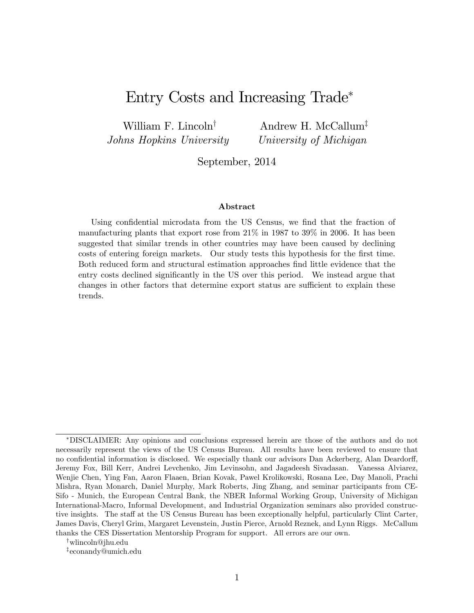## Entry Costs and Increasing Trade

William F. Lincoln<sup>†</sup> Johns Hopkins University

Andrew H. McCallum<sup>‡</sup> University of Michigan

September, 2014

#### Abstract

Using confidential microdata from the US Census, we find that the fraction of manufacturing plants that export rose from 21% in 1987 to 39% in 2006. It has been suggested that similar trends in other countries may have been caused by declining costs of entering foreign markets. Our study tests this hypothesis for the first time. Both reduced form and structural estimation approaches find little evidence that the entry costs declined significantly in the US over this period. We instead argue that changes in other factors that determine export status are sufficient to explain these trends.

<sup>†</sup>wlincoln@jhu.edu

z econandy@umich.edu

DISCLAIMER: Any opinions and conclusions expressed herein are those of the authors and do not necessarily represent the views of the US Census Bureau. All results have been reviewed to ensure that no confidential information is disclosed. We especially thank our advisors Dan Ackerberg, Alan Deardorff, Jeremy Fox, Bill Kerr, Andrei Levchenko, Jim Levinsohn, and Jagadeesh Sivadasan. Vanessa Alviarez, Wenjie Chen, Ying Fan, Aaron Flaaen, Brian Kovak, Pawel Krolikowski, Rosana Lee, Day Manoli, Prachi Mishra, Ryan Monarch, Daniel Murphy, Mark Roberts, Jing Zhang, and seminar participants from CE-Sifo - Munich, the European Central Bank, the NBER Informal Working Group, University of Michigan International-Macro, Informal Development, and Industrial Organization seminars also provided constructive insights. The staff at the US Census Bureau has been exceptionally helpful, particularly Clint Carter, James Davis, Cheryl Grim, Margaret Levenstein, Justin Pierce, Arnold Reznek, and Lynn Riggs. McCallum thanks the CES Dissertation Mentorship Program for support. All errors are our own.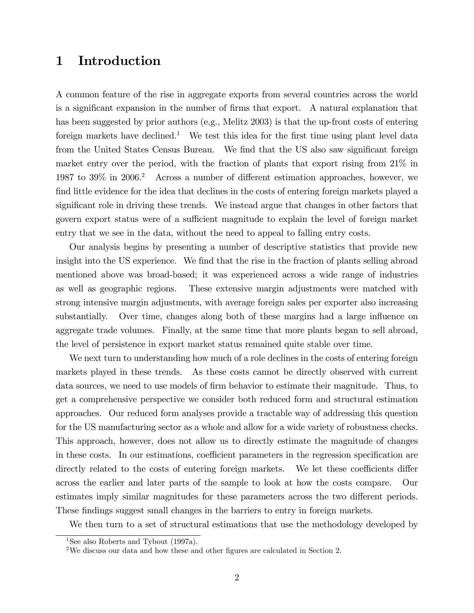## 1 Introduction

A common feature of the rise in aggregate exports from several countries across the world is a significant expansion in the number of firms that export. A natural explanation that has been suggested by prior authors (e.g., Melitz 2003) is that the up-front costs of entering foreign markets have declined.<sup>1</sup> We test this idea for the first time using plant level data from the United States Census Bureau. We find that the US also saw significant foreign market entry over the period, with the fraction of plants that export rising from 21% in 1987 to 39% in 2006.<sup>2</sup> Across a number of different estimation approaches, however, we find little evidence for the idea that declines in the costs of entering foreign markets played a significant role in driving these trends. We instead argue that changes in other factors that govern export status were of a sufficient magnitude to explain the level of foreign market entry that we see in the data, without the need to appeal to falling entry costs.

Our analysis begins by presenting a number of descriptive statistics that provide new insight into the US experience. We find that the rise in the fraction of plants selling abroad mentioned above was broad-based; it was experienced across a wide range of industries as well as geographic regions. These extensive margin adjustments were matched with strong intensive margin adjustments, with average foreign sales per exporter also increasing substantially. Over time, changes along both of these margins had a large influence on aggregate trade volumes. Finally, at the same time that more plants began to sell abroad, the level of persistence in export market status remained quite stable over time.

We next turn to understanding how much of a role declines in the costs of entering foreign markets played in these trends. As these costs cannot be directly observed with current data sources, we need to use models of firm behavior to estimate their magnitude. Thus, to get a comprehensive perspective we consider both reduced form and structural estimation approaches. Our reduced form analyses provide a tractable way of addressing this question for the US manufacturing sector as a whole and allow for a wide variety of robustness checks. This approach, however, does not allow us to directly estimate the magnitude of changes in these costs. In our estimations, coefficient parameters in the regression specification are directly related to the costs of entering foreign markets. We let these coefficients differ across the earlier and later parts of the sample to look at how the costs compare. Our estimates imply similar magnitudes for these parameters across the two different periods. These findings suggest small changes in the barriers to entry in foreign markets.

We then turn to a set of structural estimations that use the methodology developed by

<sup>&</sup>lt;sup>1</sup>See also Roberts and Tybout (1997a).

<sup>&</sup>lt;sup>2</sup>We discuss our data and how these and other figures are calculated in Section 2.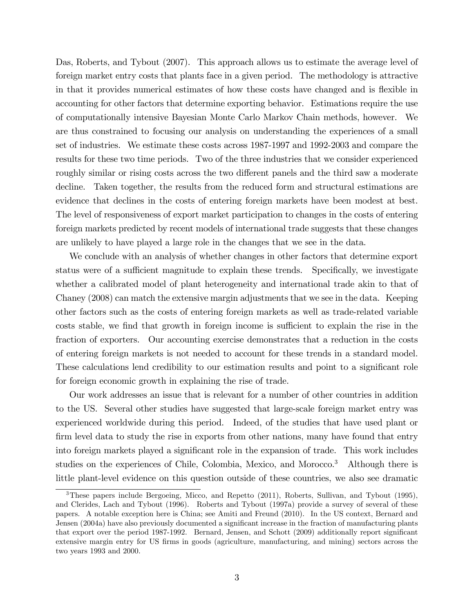Das, Roberts, and Tybout (2007). This approach allows us to estimate the average level of foreign market entry costs that plants face in a given period. The methodology is attractive in that it provides numerical estimates of how these costs have changed and is flexible in accounting for other factors that determine exporting behavior. Estimations require the use of computationally intensive Bayesian Monte Carlo Markov Chain methods, however. We are thus constrained to focusing our analysis on understanding the experiences of a small set of industries. We estimate these costs across 1987-1997 and 1992-2003 and compare the results for these two time periods. Two of the three industries that we consider experienced roughly similar or rising costs across the two different panels and the third saw a moderate decline. Taken together, the results from the reduced form and structural estimations are evidence that declines in the costs of entering foreign markets have been modest at best. The level of responsiveness of export market participation to changes in the costs of entering foreign markets predicted by recent models of international trade suggests that these changes are unlikely to have played a large role in the changes that we see in the data.

We conclude with an analysis of whether changes in other factors that determine export status were of a sufficient magnitude to explain these trends. Specifically, we investigate whether a calibrated model of plant heterogeneity and international trade akin to that of Chaney (2008) can match the extensive margin adjustments that we see in the data. Keeping other factors such as the costs of entering foreign markets as well as trade-related variable costs stable, we find that growth in foreign income is sufficient to explain the rise in the fraction of exporters. Our accounting exercise demonstrates that a reduction in the costs of entering foreign markets is not needed to account for these trends in a standard model. These calculations lend credibility to our estimation results and point to a significant role for foreign economic growth in explaining the rise of trade.

Our work addresses an issue that is relevant for a number of other countries in addition to the US. Several other studies have suggested that large-scale foreign market entry was experienced worldwide during this period. Indeed, of the studies that have used plant or firm level data to study the rise in exports from other nations, many have found that entry into foreign markets played a significant role in the expansion of trade. This work includes studies on the experiences of Chile, Colombia, Mexico, and Morocco.<sup>3</sup> Although there is little plant-level evidence on this question outside of these countries, we also see dramatic

<sup>3</sup>These papers include Bergoeing, Micco, and Repetto (2011), Roberts, Sullivan, and Tybout (1995), and Clerides, Lach and Tybout (1996). Roberts and Tybout (1997a) provide a survey of several of these papers. A notable exception here is China; see Amiti and Freund (2010). In the US context, Bernard and Jensen (2004a) have also previously documented a significant increase in the fraction of manufacturing plants that export over the period 1987-1992. Bernard, Jensen, and Schott (2009) additionally report significant extensive margin entry for US firms in goods (agriculture, manufacturing, and mining) sectors across the two years 1993 and 2000.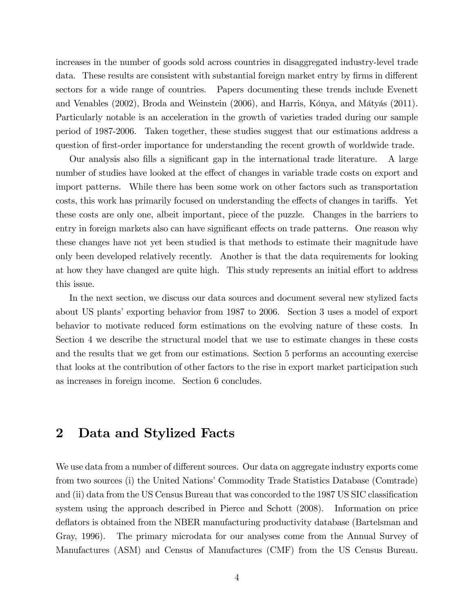increases in the number of goods sold across countries in disaggregated industry-level trade data. These results are consistent with substantial foreign market entry by firms in different sectors for a wide range of countries. Papers documenting these trends include Evenett and Venables  $(2002)$ , Broda and Weinstein  $(2006)$ , and Harris, Kónya, and Mátyás  $(2011)$ . Particularly notable is an acceleration in the growth of varieties traded during our sample period of 1987-2006. Taken together, these studies suggest that our estimations address a question of first-order importance for understanding the recent growth of worldwide trade.

Our analysis also fills a significant gap in the international trade literature. A large number of studies have looked at the effect of changes in variable trade costs on export and import patterns. While there has been some work on other factors such as transportation costs, this work has primarily focused on understanding the effects of changes in tariffs. Yet these costs are only one, albeit important, piece of the puzzle. Changes in the barriers to entry in foreign markets also can have significant effects on trade patterns. One reason why these changes have not yet been studied is that methods to estimate their magnitude have only been developed relatively recently. Another is that the data requirements for looking at how they have changed are quite high. This study represents an initial effort to address this issue.

In the next section, we discuss our data sources and document several new stylized facts about US plants' exporting behavior from 1987 to 2006. Section 3 uses a model of export behavior to motivate reduced form estimations on the evolving nature of these costs. In Section 4 we describe the structural model that we use to estimate changes in these costs and the results that we get from our estimations. Section 5 performs an accounting exercise that looks at the contribution of other factors to the rise in export market participation such as increases in foreign income. Section 6 concludes.

#### 2 Data and Stylized Facts

We use data from a number of different sources. Our data on aggregate industry exports come from two sources (i) the United Nations' Commodity Trade Statistics Database (Comtrade) and (ii) data from the US Census Bureau that was concorded to the 1987 US SIC classification system using the approach described in Pierce and Schott (2008). Information on price deflators is obtained from the NBER manufacturing productivity database (Bartelsman and Gray, 1996). The primary microdata for our analyses come from the Annual Survey of Manufactures (ASM) and Census of Manufactures (CMF) from the US Census Bureau.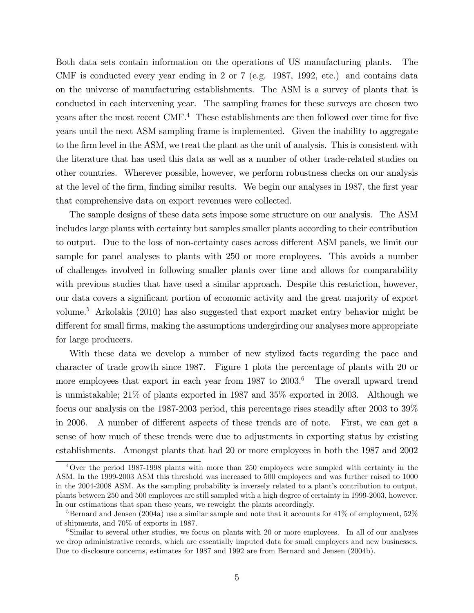Both data sets contain information on the operations of US manufacturing plants. The CMF is conducted every year ending in 2 or 7 (e.g. 1987, 1992, etc.) and contains data on the universe of manufacturing establishments. The ASM is a survey of plants that is conducted in each intervening year. The sampling frames for these surveys are chosen two years after the most recent CMF.<sup>4</sup> These establishments are then followed over time for five years until the next ASM sampling frame is implemented. Given the inability to aggregate to the Örm level in the ASM, we treat the plant as the unit of analysis. This is consistent with the literature that has used this data as well as a number of other trade-related studies on other countries. Wherever possible, however, we perform robustness checks on our analysis at the level of the firm, finding similar results. We begin our analyses in 1987, the first year that comprehensive data on export revenues were collected.

The sample designs of these data sets impose some structure on our analysis. The ASM includes large plants with certainty but samples smaller plants according to their contribution to output. Due to the loss of non-certainty cases across different ASM panels, we limit our sample for panel analyses to plants with 250 or more employees. This avoids a number of challenges involved in following smaller plants over time and allows for comparability with previous studies that have used a similar approach. Despite this restriction, however, our data covers a significant portion of economic activity and the great majority of export volume.<sup>5</sup> Arkolakis (2010) has also suggested that export market entry behavior might be different for small firms, making the assumptions undergirding our analyses more appropriate for large producers.

With these data we develop a number of new stylized facts regarding the pace and character of trade growth since 1987. Figure 1 plots the percentage of plants with 20 or more employees that export in each year from 1987 to 2003.<sup>6</sup> The overall upward trend is unmistakable; 21% of plants exported in 1987 and 35% exported in 2003. Although we focus our analysis on the 1987-2003 period, this percentage rises steadily after 2003 to 39% in 2006. A number of different aspects of these trends are of note. First, we can get a sense of how much of these trends were due to adjustments in exporting status by existing establishments. Amongst plants that had 20 or more employees in both the 1987 and 2002

<sup>4</sup>Over the period 1987-1998 plants with more than 250 employees were sampled with certainty in the ASM. In the 1999-2003 ASM this threshold was increased to 500 employees and was further raised to 1000 in the 2004-2008 ASM. As the sampling probability is inversely related to a plant's contribution to output, plants between 250 and 500 employees are still sampled with a high degree of certainty in 1999-2003, however. In our estimations that span these years, we reweight the plants accordingly.

 $5$ Bernard and Jensen (2004a) use a similar sample and note that it accounts for 41% of employment,  $52\%$ of shipments, and 70% of exports in 1987.

<sup>&</sup>lt;sup>6</sup>Similar to several other studies, we focus on plants with 20 or more employees. In all of our analyses we drop administrative records, which are essentially imputed data for small employers and new businesses. Due to disclosure concerns, estimates for 1987 and 1992 are from Bernard and Jensen (2004b).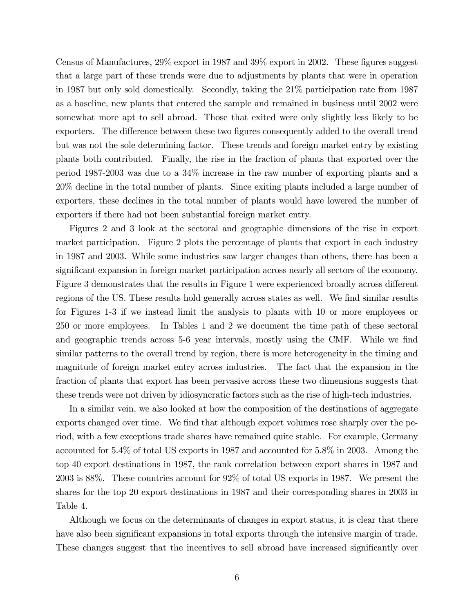Census of Manufactures,  $29\%$  export in 1987 and  $39\%$  export in 2002. These figures suggest that a large part of these trends were due to adjustments by plants that were in operation in 1987 but only sold domestically. Secondly, taking the 21% participation rate from 1987 as a baseline, new plants that entered the sample and remained in business until 2002 were somewhat more apt to sell abroad. Those that exited were only slightly less likely to be exporters. The difference between these two figures consequently added to the overall trend but was not the sole determining factor. These trends and foreign market entry by existing plants both contributed. Finally, the rise in the fraction of plants that exported over the period 1987-2003 was due to a 34% increase in the raw number of exporting plants and a 20% decline in the total number of plants. Since exiting plants included a large number of exporters, these declines in the total number of plants would have lowered the number of exporters if there had not been substantial foreign market entry.

Figures 2 and 3 look at the sectoral and geographic dimensions of the rise in export market participation. Figure 2 plots the percentage of plants that export in each industry in 1987 and 2003. While some industries saw larger changes than others, there has been a significant expansion in foreign market participation across nearly all sectors of the economy. Figure 3 demonstrates that the results in Figure 1 were experienced broadly across different regions of the US. These results hold generally across states as well. We find similar results for Figures 1-3 if we instead limit the analysis to plants with 10 or more employees or 250 or more employees. In Tables 1 and 2 we document the time path of these sectoral and geographic trends across 5-6 year intervals, mostly using the CMF. While we find similar patterns to the overall trend by region, there is more heterogeneity in the timing and magnitude of foreign market entry across industries. The fact that the expansion in the fraction of plants that export has been pervasive across these two dimensions suggests that these trends were not driven by idiosyncratic factors such as the rise of high-tech industries.

In a similar vein, we also looked at how the composition of the destinations of aggregate exports changed over time. We find that although export volumes rose sharply over the period, with a few exceptions trade shares have remained quite stable. For example, Germany accounted for 5.4% of total US exports in 1987 and accounted for 5.8% in 2003. Among the top 40 export destinations in 1987, the rank correlation between export shares in 1987 and 2003 is 88%. These countries account for 92% of total US exports in 1987. We present the shares for the top 20 export destinations in 1987 and their corresponding shares in 2003 in Table 4.

Although we focus on the determinants of changes in export status, it is clear that there have also been significant expansions in total exports through the intensive margin of trade. These changes suggest that the incentives to sell abroad have increased significantly over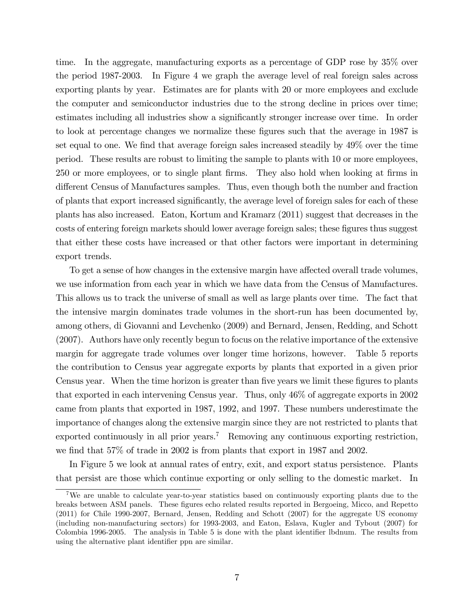time. In the aggregate, manufacturing exports as a percentage of GDP rose by 35% over the period 1987-2003. In Figure 4 we graph the average level of real foreign sales across exporting plants by year. Estimates are for plants with 20 or more employees and exclude the computer and semiconductor industries due to the strong decline in prices over time; estimates including all industries show a significantly stronger increase over time. In order to look at percentage changes we normalize these figures such that the average in 1987 is set equal to one. We find that average foreign sales increased steadily by 49% over the time period. These results are robust to limiting the sample to plants with 10 or more employees, 250 or more employees, or to single plant firms. They also hold when looking at firms in different Census of Manufactures samples. Thus, even though both the number and fraction of plants that export increased significantly, the average level of foreign sales for each of these plants has also increased. Eaton, Kortum and Kramarz (2011) suggest that decreases in the costs of entering foreign markets should lower average foreign sales; these figures thus suggest that either these costs have increased or that other factors were important in determining export trends.

To get a sense of how changes in the extensive margin have affected overall trade volumes, we use information from each year in which we have data from the Census of Manufactures. This allows us to track the universe of small as well as large plants over time. The fact that the intensive margin dominates trade volumes in the short-run has been documented by, among others, di Giovanni and Levchenko (2009) and Bernard, Jensen, Redding, and Schott (2007). Authors have only recently begun to focus on the relative importance of the extensive margin for aggregate trade volumes over longer time horizons, however. Table 5 reports the contribution to Census year aggregate exports by plants that exported in a given prior Census year. When the time horizon is greater than five years we limit these figures to plants that exported in each intervening Census year. Thus, only 46% of aggregate exports in 2002 came from plants that exported in 1987, 1992, and 1997. These numbers underestimate the importance of changes along the extensive margin since they are not restricted to plants that exported continuously in all prior years.<sup>7</sup> Removing any continuous exporting restriction, we find that  $57\%$  of trade in 2002 is from plants that export in 1987 and 2002.

In Figure 5 we look at annual rates of entry, exit, and export status persistence. Plants that persist are those which continue exporting or only selling to the domestic market. In

<sup>7</sup>We are unable to calculate year-to-year statistics based on continuously exporting plants due to the breaks between ASM panels. These figures echo related results reported in Bergoeing, Micco, and Repetto (2011) for Chile 1990-2007, Bernard, Jensen, Redding and Schott (2007) for the aggregate US economy (including non-manufacturing sectors) for 1993-2003, and Eaton, Eslava, Kugler and Tybout (2007) for Colombia 1996-2005. The analysis in Table 5 is done with the plant identifier lbdnum. The results from using the alternative plant identifier ppn are similar.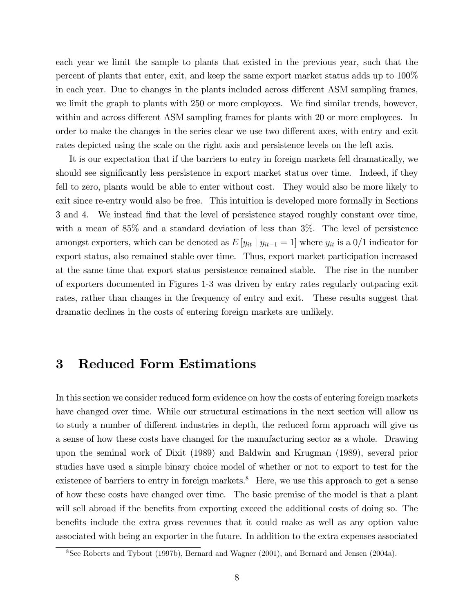each year we limit the sample to plants that existed in the previous year, such that the percent of plants that enter, exit, and keep the same export market status adds up to 100% in each year. Due to changes in the plants included across different ASM sampling frames, we limit the graph to plants with 250 or more employees. We find similar trends, however, within and across different ASM sampling frames for plants with 20 or more employees. In order to make the changes in the series clear we use two different axes, with entry and exit rates depicted using the scale on the right axis and persistence levels on the left axis.

It is our expectation that if the barriers to entry in foreign markets fell dramatically, we should see significantly less persistence in export market status over time. Indeed, if they fell to zero, plants would be able to enter without cost. They would also be more likely to exit since re-entry would also be free. This intuition is developed more formally in Sections 3 and 4. We instead find that the level of persistence stayed roughly constant over time, with a mean of 85% and a standard deviation of less than 3%. The level of persistence amongst exporters, which can be denoted as  $E[y_{it} | y_{it-1} = 1]$  where  $y_{it}$  is a  $0/1$  indicator for export status, also remained stable over time. Thus, export market participation increased at the same time that export status persistence remained stable. The rise in the number of exporters documented in Figures 1-3 was driven by entry rates regularly outpacing exit rates, rather than changes in the frequency of entry and exit. These results suggest that dramatic declines in the costs of entering foreign markets are unlikely.

### 3 Reduced Form Estimations

In this section we consider reduced form evidence on how the costs of entering foreign markets have changed over time. While our structural estimations in the next section will allow us to study a number of different industries in depth, the reduced form approach will give us a sense of how these costs have changed for the manufacturing sector as a whole. Drawing upon the seminal work of Dixit (1989) and Baldwin and Krugman (1989), several prior studies have used a simple binary choice model of whether or not to export to test for the existence of barriers to entry in foreign markets.<sup>8</sup> Here, we use this approach to get a sense of how these costs have changed over time. The basic premise of the model is that a plant will sell abroad if the benefits from exporting exceed the additional costs of doing so. The benefits include the extra gross revenues that it could make as well as any option value associated with being an exporter in the future. In addition to the extra expenses associated

<sup>8</sup>See Roberts and Tybout (1997b), Bernard and Wagner (2001), and Bernard and Jensen (2004a).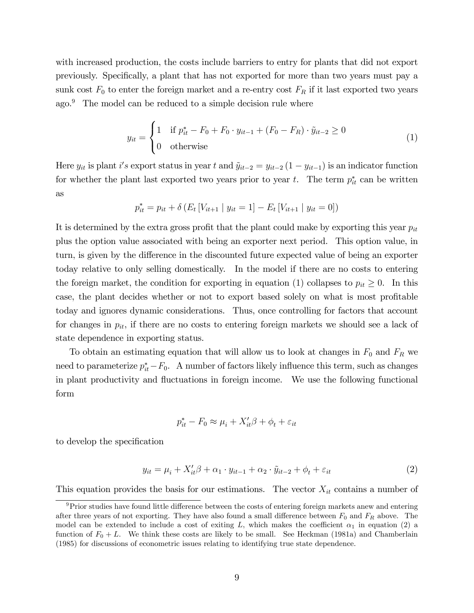with increased production, the costs include barriers to entry for plants that did not export previously. Specifically, a plant that has not exported for more than two years must pay a sunk cost  $F_0$  to enter the foreign market and a re-entry cost  $F_R$  if it last exported two years ago.<sup>9</sup> The model can be reduced to a simple decision rule where

$$
y_{it} = \begin{cases} 1 & \text{if } p_{it}^{*} - F_0 + F_0 \cdot y_{it-1} + (F_0 - F_R) \cdot \tilde{y}_{it-2} \ge 0 \\ 0 & \text{otherwise} \end{cases}
$$
(1)

Here  $y_{it}$  is plant i's export status in year t and  $\tilde{y}_{it-2} = y_{it-2} (1 - y_{it-1})$  is an indicator function for whether the plant last exported two years prior to year t. The term  $p_{it}^*$  can be written as

$$
p_{it}^* = p_{it} + \delta \left( E_t \left[ V_{it+1} \mid y_{it} = 1 \right] - E_t \left[ V_{it+1} \mid y_{it} = 0 \right] \right)
$$

It is determined by the extra gross profit that the plant could make by exporting this year  $p_{it}$ plus the option value associated with being an exporter next period. This option value, in turn, is given by the difference in the discounted future expected value of being an exporter today relative to only selling domestically. In the model if there are no costs to entering the foreign market, the condition for exporting in equation (1) collapses to  $p_{it} \geq 0$ . In this case, the plant decides whether or not to export based solely on what is most profitable today and ignores dynamic considerations. Thus, once controlling for factors that account for changes in  $p_{it}$ , if there are no costs to entering foreign markets we should see a lack of state dependence in exporting status.

To obtain an estimating equation that will allow us to look at changes in  $F_0$  and  $F_R$  we need to parameterize  $p_{it}^* - F_0$ . A number of factors likely influence this term, such as changes in plant productivity and fluctuations in foreign income. We use the following functional form

$$
p_{it}^* - F_0 \approx \mu_i + X_{it}'\beta + \phi_t + \varepsilon_{it}
$$

to develop the specification

$$
y_{it} = \mu_i + X_{it}'\beta + \alpha_1 \cdot y_{it-1} + \alpha_2 \cdot \tilde{y}_{it-2} + \phi_t + \varepsilon_{it}
$$
 (2)

This equation provides the basis for our estimations. The vector  $X_{it}$  contains a number of

 $9$ Prior studies have found little difference between the costs of entering foreign markets anew and entering after three years of not exporting. They have also found a small difference between  $F_0$  and  $F_R$  above. The model can be extended to include a cost of exiting L, which makes the coefficient  $\alpha_1$  in equation (2) a function of  $F_0 + L$ . We think these costs are likely to be small. See Heckman (1981a) and Chamberlain (1985) for discussions of econometric issues relating to identifying true state dependence.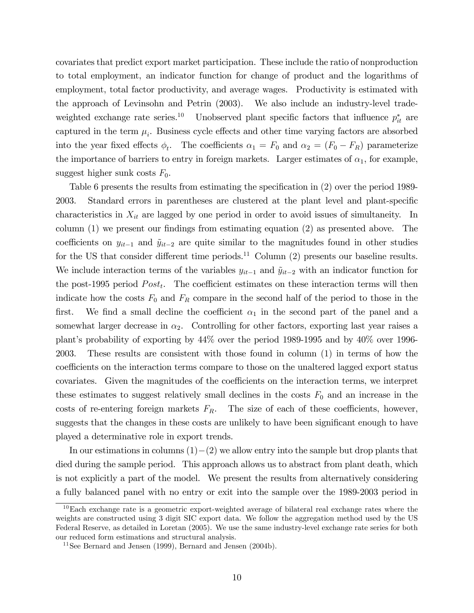covariates that predict export market participation. These include the ratio of nonproduction to total employment, an indicator function for change of product and the logarithms of employment, total factor productivity, and average wages. Productivity is estimated with the approach of Levinsohn and Petrin (2003). We also include an industry-level tradeweighted exchange rate series.<sup>10</sup> Unobserved plant specific factors that influence  $p_{it}^*$  are captured in the term  $\mu_i$ . Business cycle effects and other time varying factors are absorbed into the year fixed effects  $\phi_t$ . The coefficients  $\alpha_1 = F_0$  and  $\alpha_2 = (F_0 - F_R)$  parameterize the importance of barriers to entry in foreign markets. Larger estimates of  $\alpha_1$ , for example, suggest higher sunk costs  $F_0$ .

Table 6 presents the results from estimating the specification in (2) over the period 1989-2003. Standard errors in parentheses are clustered at the plant level and plant-specific characteristics in  $X_{it}$  are lagged by one period in order to avoid issues of simultaneity. In column  $(1)$  we present our findings from estimating equation  $(2)$  as presented above. The coefficients on  $y_{it-1}$  and  $\tilde{y}_{it-2}$  are quite similar to the magnitudes found in other studies for the US that consider different time periods.<sup>11</sup> Column  $(2)$  presents our baseline results. We include interaction terms of the variables  $y_{it-1}$  and  $\tilde{y}_{it-2}$  with an indicator function for the post-1995 period  $Post<sub>t</sub>$ . The coefficient estimates on these interaction terms will then indicate how the costs  $F_0$  and  $F_R$  compare in the second half of the period to those in the first. We find a small decline the coefficient  $\alpha_1$  in the second part of the panel and a somewhat larger decrease in  $\alpha_2$ . Controlling for other factors, exporting last year raises a plant's probability of exporting by  $44\%$  over the period 1989-1995 and by  $40\%$  over 1996-2003. These results are consistent with those found in column (1) in terms of how the coefficients on the interaction terms compare to those on the unaltered lagged export status covariates. Given the magnitudes of the coefficients on the interaction terms, we interpret these estimates to suggest relatively small declines in the costs  $F_0$  and an increase in the costs of re-entering foreign markets  $F_R$ . The size of each of these coefficients, however, suggests that the changes in these costs are unlikely to have been significant enough to have played a determinative role in export trends.

In our estimations in columns  $(1)-(2)$  we allow entry into the sample but drop plants that died during the sample period. This approach allows us to abstract from plant death, which is not explicitly a part of the model. We present the results from alternatively considering a fully balanced panel with no entry or exit into the sample over the 1989-2003 period in

<sup>&</sup>lt;sup>10</sup>Each exchange rate is a geometric export-weighted average of bilateral real exchange rates where the weights are constructed using 3 digit SIC export data. We follow the aggregation method used by the US Federal Reserve, as detailed in Loretan (2005). We use the same industry-level exchange rate series for both our reduced form estimations and structural analysis.

 $11$ See Bernard and Jensen (1999), Bernard and Jensen (2004b).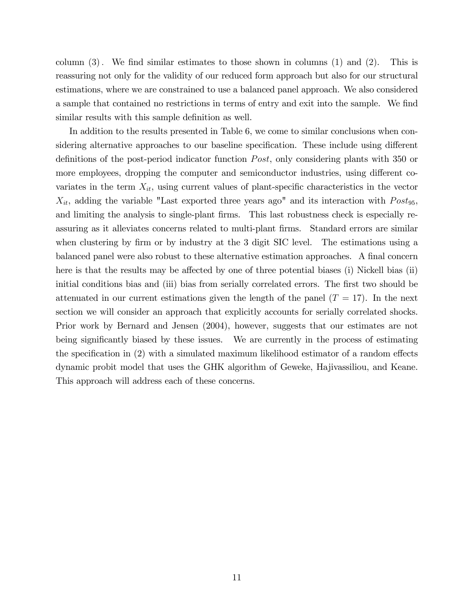column  $(3)$ . We find similar estimates to those shown in columns  $(1)$  and  $(2)$ . This is reassuring not only for the validity of our reduced form approach but also for our structural estimations, where we are constrained to use a balanced panel approach. We also considered a sample that contained no restrictions in terms of entry and exit into the sample. We find similar results with this sample definition as well.

In addition to the results presented in Table 6, we come to similar conclusions when considering alternative approaches to our baseline specification. These include using different definitions of the post-period indicator function *Post*, only considering plants with 350 or more employees, dropping the computer and semiconductor industries, using different covariates in the term  $X_{it}$ , using current values of plant-specific characteristics in the vector  $X_{it}$ , adding the variable "Last exported three years ago" and its interaction with  $Post_{95}$ , and limiting the analysis to single-plant firms. This last robustness check is especially reassuring as it alleviates concerns related to multi-plant firms. Standard errors are similar when clustering by firm or by industry at the 3 digit SIC level. The estimations using a balanced panel were also robust to these alternative estimation approaches. A final concern here is that the results may be affected by one of three potential biases (i) Nickell bias (ii) initial conditions bias and (iii) bias from serially correlated errors. The first two should be attenuated in our current estimations given the length of the panel  $(T = 17)$ . In the next section we will consider an approach that explicitly accounts for serially correlated shocks. Prior work by Bernard and Jensen (2004), however, suggests that our estimates are not being significantly biased by these issues. We are currently in the process of estimating the specification in  $(2)$  with a simulated maximum likelihood estimator of a random effects dynamic probit model that uses the GHK algorithm of Geweke, Hajivassiliou, and Keane. This approach will address each of these concerns.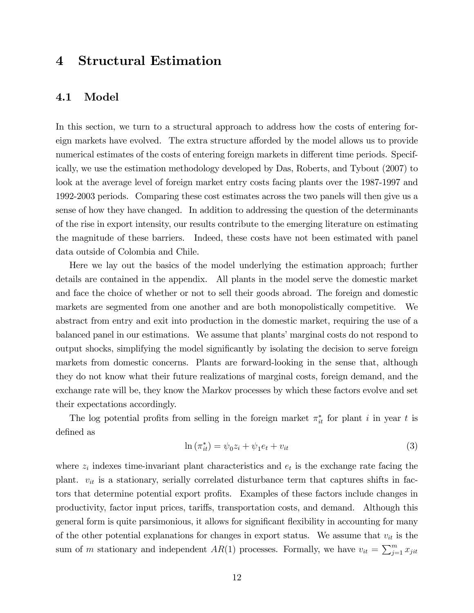## 4 Structural Estimation

#### 4.1 Model

In this section, we turn to a structural approach to address how the costs of entering foreign markets have evolved. The extra structure afforded by the model allows us to provide numerical estimates of the costs of entering foreign markets in different time periods. Specifically, we use the estimation methodology developed by Das, Roberts, and Tybout (2007) to look at the average level of foreign market entry costs facing plants over the 1987-1997 and 1992-2003 periods. Comparing these cost estimates across the two panels will then give us a sense of how they have changed. In addition to addressing the question of the determinants of the rise in export intensity, our results contribute to the emerging literature on estimating the magnitude of these barriers. Indeed, these costs have not been estimated with panel data outside of Colombia and Chile.

Here we lay out the basics of the model underlying the estimation approach; further details are contained in the appendix. All plants in the model serve the domestic market and face the choice of whether or not to sell their goods abroad. The foreign and domestic markets are segmented from one another and are both monopolistically competitive. We abstract from entry and exit into production in the domestic market, requiring the use of a balanced panel in our estimations. We assume that plants' marginal costs do not respond to output shocks, simplifying the model significantly by isolating the decision to serve foreign markets from domestic concerns. Plants are forward-looking in the sense that, although they do not know what their future realizations of marginal costs, foreign demand, and the exchange rate will be, they know the Markov processes by which these factors evolve and set their expectations accordingly.

The log potential profits from selling in the foreign market  $\pi_{it}^*$  for plant i in year t is defined as

$$
\ln\left(\pi_{it}^*\right) = \psi_0 z_i + \psi_1 e_t + v_{it} \tag{3}
$$

where  $z_i$  indexes time-invariant plant characteristics and  $e_t$  is the exchange rate facing the plant.  $v_{it}$  is a stationary, serially correlated disturbance term that captures shifts in factors that determine potential export profits. Examples of these factors include changes in productivity, factor input prices, tariffs, transportation costs, and demand. Although this general form is quite parsimonious, it allows for significant flexibility in accounting for many of the other potential explanations for changes in export status. We assume that  $v_{it}$  is the sum of m stationary and independent  $AR(1)$  processes. Formally, we have  $v_{it} = \sum_{j=1}^{m} x_{jit}$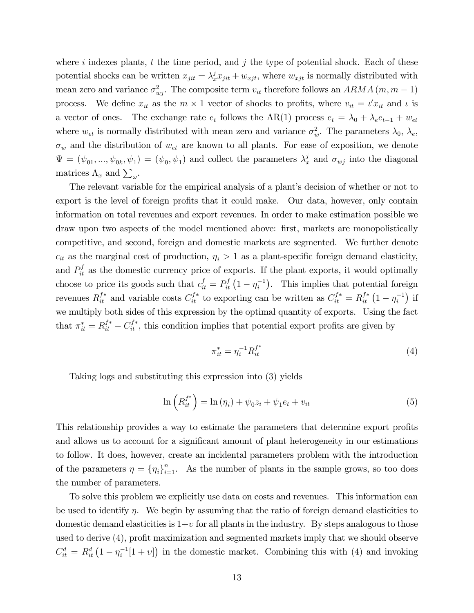where i indexes plants, t the time period, and j the type of potential shock. Each of these potential shocks can be written  $x_{jit} = \lambda_x^j x_{jit} + w_{xjt}$ , where  $w_{xjt}$  is normally distributed with mean zero and variance  $\sigma_{wj}^2$ . The composite term  $v_{it}$  therefore follows an  $ARMA$   $(m, m - 1)$ process. We define  $x_{it}$  as the  $m \times 1$  vector of shocks to profits, where  $v_{it} = \iota' x_{it}$  and  $\iota$  is a vector of ones. The exchange rate  $e_t$  follows the AR(1) process  $e_t = \lambda_0 + \lambda_e e_{t-1} + w_{et}$ where  $w_{et}$  is normally distributed with mean zero and variance  $\sigma_w^2$ . The parameters  $\lambda_0$ ,  $\lambda_e$ ,  $\sigma_w$  and the distribution of  $w_{et}$  are known to all plants. For ease of exposition, we denote  $\Psi = (\psi_{01}, ..., \psi_{0k}, \psi_1) = (\psi_0, \psi_1)$  and collect the parameters  $\lambda_x^j$  and  $\sigma_{xy}$  into the diagonal matrices  $\Lambda_x$  and  $\sum_{\omega}$ .

The relevant variable for the empirical analysis of a plant's decision of whether or not to export is the level of foreign profits that it could make. Our data, however, only contain information on total revenues and export revenues. In order to make estimation possible we draw upon two aspects of the model mentioned above: first, markets are monopolistically competitive, and second, foreign and domestic markets are segmented. We further denote  $c_{it}$  as the marginal cost of production,  $\eta_i > 1$  as a plant-specific foreign demand elasticity, and  $P_{it}^f$  as the domestic currency price of exports. If the plant exports, it would optimally choose to price its goods such that  $c_{it}^f = P_{it}^f (1 - \eta_i^{-1})$ . This implies that potential foreign revenues  $R_{it}^{f*}$  and variable costs  $C_{it}^{f*}$  to exporting can be written as  $C_{it}^{f*} = R_{it}^{f*} (1 - \eta_i^{-1})$  if we multiply both sides of this expression by the optimal quantity of exports. Using the fact that  $\pi_{it}^* = R_{it}^{f*} - C_{it}^{f*}$ , this condition implies that potential export profits are given by

$$
\pi_{it}^* = \eta_i^{-1} R_{it}^{f^*}
$$
\n(4)

Taking logs and substituting this expression into (3) yields

$$
\ln\left(R_{it}^{f^*}\right) = \ln\left(\eta_i\right) + \psi_0 z_i + \psi_1 e_t + v_{it}
$$
\n<sup>(5)</sup>

This relationship provides a way to estimate the parameters that determine export profits and allows us to account for a significant amount of plant heterogeneity in our estimations to follow. It does, however, create an incidental parameters problem with the introduction of the parameters  $\eta = {\eta_i}_{i=1}^n$ . As the number of plants in the sample grows, so too does the number of parameters.

To solve this problem we explicitly use data on costs and revenues. This information can be used to identify  $\eta$ . We begin by assuming that the ratio of foreign demand elasticities to domestic demand elasticities is  $1+v$  for all plants in the industry. By steps analogous to those used to derive (4), profit maximization and segmented markets imply that we should observe  $C_{it}^{d} = R_{it}^{d} (1 - \eta_i^{-1} [1 + \nu])$  in the domestic market. Combining this with (4) and invoking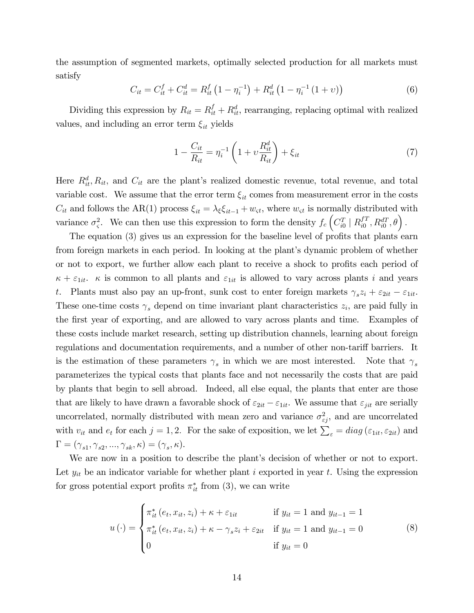the assumption of segmented markets, optimally selected production for all markets must satisfy

$$
C_{it} = C_{it}^f + C_{it}^d = R_{it}^f \left( 1 - \eta_i^{-1} \right) + R_{it}^d \left( 1 - \eta_i^{-1} \left( 1 + v \right) \right) \tag{6}
$$

Dividing this expression by  $R_{it} = R_{it}^f + R_{it}^d$ , rearranging, replacing optimal with realized values, and including an error term  $\xi_{it}$  yields

$$
1 - \frac{C_{it}}{R_{it}} = \eta_i^{-1} \left( 1 + v \frac{R_{it}^d}{R_{it}} \right) + \xi_{it}
$$
 (7)

Here  $R_{it}^d$ ,  $R_{it}$ , and  $C_{it}$  are the plant's realized domestic revenue, total revenue, and total variable cost. We assume that the error term  $\xi_{it}$  comes from measurement error in the costs  $C_{it}$  and follows the AR(1) process  $\xi_{it} = \lambda_{\xi} \xi_{it-1} + w_{\xi}$ , where  $w_{\xi}$  is normally distributed with variance  $\sigma_s^2$ . We can then use this expression to form the density  $f_c \left( C_{i0}^T \mid R_{i0}^{fT} \right)$  $_{i0}^{fT}, R_{i0}^{dT}, \theta$ .

The equation  $(3)$  gives us an expression for the baseline level of profits that plants earn from foreign markets in each period. In looking at the plant's dynamic problem of whether or not to export, we further allow each plant to receive a shock to profits each period of  $\kappa + \varepsilon_{1it}$ .  $\kappa$  is common to all plants and  $\varepsilon_{1it}$  is allowed to vary across plants i and years t. Plants must also pay an up-front, sunk cost to enter foreign markets  $\gamma_s z_i + \varepsilon_{2it} - \varepsilon_{1it}$ . These one-time costs  $\gamma_s$  depend on time invariant plant characteristics  $z_i$ , are paid fully in the first year of exporting, and are allowed to vary across plants and time. Examples of these costs include market research, setting up distribution channels, learning about foreign regulations and documentation requirements, and a number of other non-tariff barriers. It is the estimation of these parameters  $\gamma_s$  in which we are most interested. Note that  $\gamma_s$ parameterizes the typical costs that plants face and not necessarily the costs that are paid by plants that begin to sell abroad. Indeed, all else equal, the plants that enter are those that are likely to have drawn a favorable shock of  $\varepsilon_{2it} - \varepsilon_{1it}$ . We assume that  $\varepsilon_{jit}$  are serially uncorrelated, normally distributed with mean zero and variance  $\sigma_{\varepsilon j}^2$ , and are uncorrelated with  $v_{it}$  and  $e_t$  for each  $j = 1, 2$ . For the sake of exposition, we let  $\sum_{\varepsilon} = diag(\varepsilon_{1it}, \varepsilon_{2it})$  and  $\Gamma = (\gamma_{s1}, \gamma_{s2}, ..., \gamma_{sk}, \kappa) = (\gamma_s, \kappa).$ 

We are now in a position to describe the plant's decision of whether or not to export. Let  $y_{it}$  be an indicator variable for whether plant i exported in year t. Using the expression for gross potential export profits  $\pi_{it}^*$  from (3), we can write

$$
u(\cdot) = \begin{cases} \pi_{it}^* (e_t, x_{it}, z_i) + \kappa + \varepsilon_{1it} & \text{if } y_{it} = 1 \text{ and } y_{it-1} = 1 \\ \pi_{it}^* (e_t, x_{it}, z_i) + \kappa - \gamma_s z_i + \varepsilon_{2it} & \text{if } y_{it} = 1 \text{ and } y_{it-1} = 0 \\ 0 & \text{if } y_{it} = 0 \end{cases}
$$
 (8)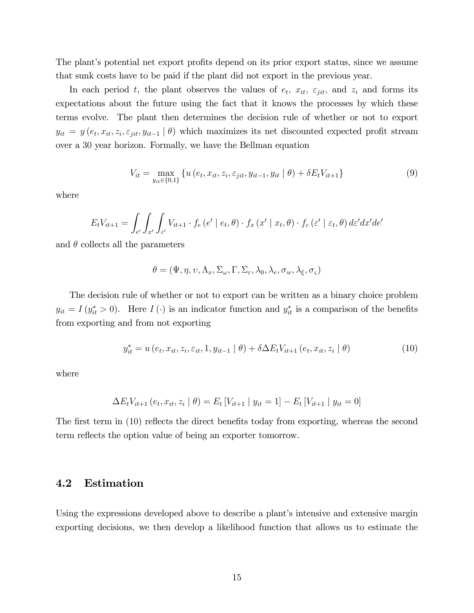The plant's potential net export profits depend on its prior export status, since we assume that sunk costs have to be paid if the plant did not export in the previous year.

In each period t, the plant observes the values of  $e_t$ ,  $x_{it}$ ,  $\varepsilon_{jit}$ , and  $z_i$  and forms its expectations about the future using the fact that it knows the processes by which these terms evolve. The plant then determines the decision rule of whether or not to export  $y_{it} = y(e_t, x_{it}, z_i, \varepsilon_{jit}, y_{it-1} | \theta)$  which maximizes its net discounted expected profit stream over a 30 year horizon. Formally, we have the Bellman equation

$$
V_{it} = \max_{y_{it} \in \{0,1\}} \left\{ u\left(e_t, x_{it}, z_i, \varepsilon_{jit}, y_{it-1}, y_{it} \mid \theta\right) + \delta E_t V_{it+1} \right\}
$$
(9)

where

$$
E_t V_{it+1} = \int_{e'} \int_{x'} \int_{\varepsilon'} V_{it+1} \cdot f_e(e' \mid e_t, \theta) \cdot f_x(x' \mid x_t, \theta) \cdot f_{\varepsilon}(\varepsilon' \mid \varepsilon_t, \theta) d\varepsilon' dx' de'
$$

and  $\theta$  collects all the parameters

$$
\theta = (\Psi, \eta, \upsilon, \Lambda_x, \Sigma_\omega, \Gamma, \Sigma_\varepsilon, \lambda_0, \lambda_e, \sigma_w, \lambda_\xi, \sigma_\varsigma)
$$

The decision rule of whether or not to export can be written as a binary choice problem  $y_{it} = I(y_{it}^* > 0)$ . Here  $I(\cdot)$  is an indicator function and  $y_{it}^*$  is a comparison of the benefits from exporting and from not exporting

$$
y_{it}^{*} = u(e_{t}, x_{it}, z_{i}, \varepsilon_{it}, 1, y_{it-1} | \theta) + \delta \Delta E_{t} V_{it+1}(e_{t}, x_{it}, z_{i} | \theta)
$$
(10)

where

$$
\Delta E_t V_{it+1} (e_t, x_{it}, z_i | \theta) = E_t [V_{it+1} | y_{it} = 1] - E_t [V_{it+1} | y_{it} = 0]
$$

The first term in (10) reflects the direct benefits today from exporting, whereas the second term reflects the option value of being an exporter tomorrow.

#### 4.2 Estimation

Using the expressions developed above to describe a plant's intensive and extensive margin exporting decisions, we then develop a likelihood function that allows us to estimate the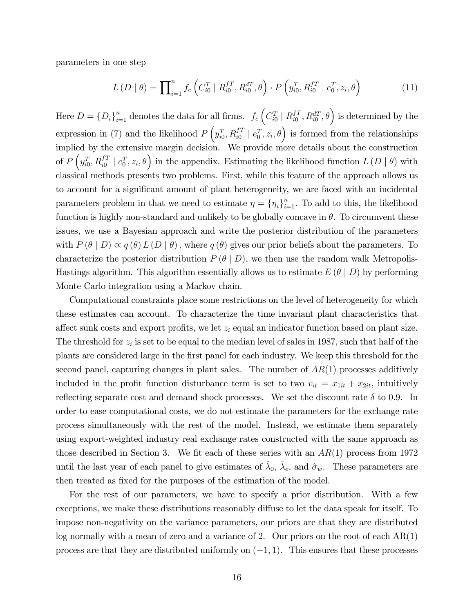parameters in one step

$$
L(D | \theta) = \prod_{i=1}^{n} f_c\left(C_{i0}^T | R_{i0}^{fT}, R_{i0}^{dT}, \theta\right) \cdot P\left(y_{i0}^T, R_{i0}^{fT} | e_0^T, z_i, \theta\right)
$$
(11)

Here  $D = \{D_i\}_{i=1}^n$  denotes the data for all firms.  $f_c \left(C_{i0}^T \mid R_{i0}^{fT}\right)$  $\left( \begin{smallmatrix} fT & fT \\ i0 & hT \end{smallmatrix} \right)$  as determined by the expression in (7) and the likelihood  $P\left(y_{i0}^T, R_{i0}^{f} \mid e_0^T, z_i, \theta\right)$  is formed from the relationships implied by the extensive margin decision. We provide more details about the construction of  $P\left(y_{i0}^T, R_{i0}^{f} \mid e_0^T, z_i, \theta\right)$  in the appendix. Estimating the likelihood function  $L(D \mid \theta)$  with classical methods presents two problems. First, while this feature of the approach allows us to account for a significant amount of plant heterogeneity, we are faced with an incidental parameters problem in that we need to estimate  $\eta = {\eta_i}_{i=1}^n$ . To add to this, the likelihood function is highly non-standard and unlikely to be globally concave in  $\theta$ . To circumvent these issues, we use a Bayesian approach and write the posterior distribution of the parameters with  $P(\theta | D) \propto q(\theta) L(D | \theta)$ , where  $q(\theta)$  gives our prior beliefs about the parameters. To characterize the posterior distribution  $P(\theta | D)$ , we then use the random walk Metropolis-Hastings algorithm. This algorithm essentially allows us to estimate  $E(\theta | D)$  by performing Monte Carlo integration using a Markov chain.

Computational constraints place some restrictions on the level of heterogeneity for which these estimates can account. To characterize the time invariant plant characteristics that affect sunk costs and export profits, we let  $z_i$  equal an indicator function based on plant size. The threshold for  $z_i$  is set to be equal to the median level of sales in 1987, such that half of the plants are considered large in the Örst panel for each industry. We keep this threshold for the second panel, capturing changes in plant sales. The number of  $AR(1)$  processes additively included in the profit function disturbance term is set to two  $v_{it} = x_{1it} + x_{2it}$ , intuitively reflecting separate cost and demand shock processes. We set the discount rate  $\delta$  to 0.9. In order to ease computational costs, we do not estimate the parameters for the exchange rate process simultaneously with the rest of the model. Instead, we estimate them separately using export-weighted industry real exchange rates constructed with the same approach as those described in Section 3. We fit each of these series with an  $AR(1)$  process from 1972 until the last year of each panel to give estimates of  $\hat{\lambda}_0$ ,  $\hat{\lambda}_e$ , and  $\hat{\sigma}_w$ . These parameters are then treated as fixed for the purposes of the estimation of the model.

For the rest of our parameters, we have to specify a prior distribution. With a few exceptions, we make these distributions reasonably diffuse to let the data speak for itself. To impose non-negativity on the variance parameters, our priors are that they are distributed log normally with a mean of zero and a variance of 2. Our priors on the root of each  $AR(1)$ process are that they are distributed uniformly on  $(-1, 1)$ . This ensures that these processes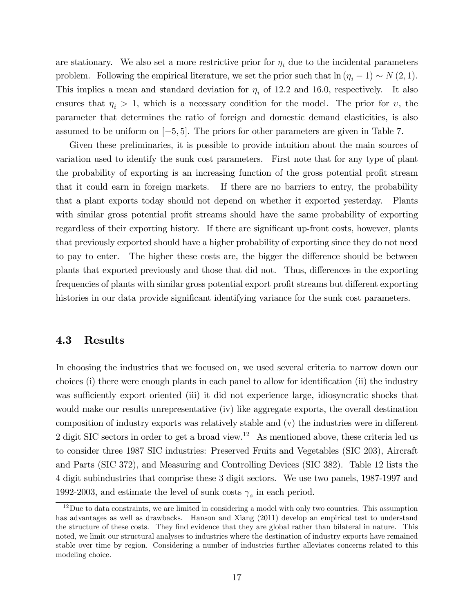are stationary. We also set a more restrictive prior for  $\eta_i$  due to the incidental parameters problem. Following the empirical literature, we set the prior such that  $\ln(\eta_i - 1) \sim N(2, 1)$ . This implies a mean and standard deviation for  $\eta_i$  of 12.2 and 16.0, respectively. It also ensures that  $\eta_i > 1$ , which is a necessary condition for the model. The prior for v, the parameter that determines the ratio of foreign and domestic demand elasticities, is also assumed to be uniform on  $[-5, 5]$ . The priors for other parameters are given in Table 7.

Given these preliminaries, it is possible to provide intuition about the main sources of variation used to identify the sunk cost parameters. First note that for any type of plant the probability of exporting is an increasing function of the gross potential profit stream that it could earn in foreign markets. If there are no barriers to entry, the probability that a plant exports today should not depend on whether it exported yesterday. Plants with similar gross potential profit streams should have the same probability of exporting regardless of their exporting history. If there are significant up-front costs, however, plants that previously exported should have a higher probability of exporting since they do not need to pay to enter. The higher these costs are, the bigger the difference should be between plants that exported previously and those that did not. Thus, differences in the exporting frequencies of plants with similar gross potential export profit streams but different exporting histories in our data provide significant identifying variance for the sunk cost parameters.

#### 4.3 Results

In choosing the industries that we focused on, we used several criteria to narrow down our choices (i) there were enough plants in each panel to allow for identification (ii) the industry was sufficiently export oriented (iii) it did not experience large, idiosyncratic shocks that would make our results unrepresentative (iv) like aggregate exports, the overall destination composition of industry exports was relatively stable and  $(v)$  the industries were in different 2 digit SIC sectors in order to get a broad view.<sup>12</sup> As mentioned above, these criteria led us to consider three 1987 SIC industries: Preserved Fruits and Vegetables (SIC 203), Aircraft and Parts (SIC 372), and Measuring and Controlling Devices (SIC 382). Table 12 lists the 4 digit subindustries that comprise these 3 digit sectors. We use two panels, 1987-1997 and 1992-2003, and estimate the level of sunk costs  $\gamma_s$  in each period.

 $12$ Due to data constraints, we are limited in considering a model with only two countries. This assumption has advantages as well as drawbacks. Hanson and Xiang (2011) develop an empirical test to understand the structure of these costs. They find evidence that they are global rather than bilateral in nature. This noted, we limit our structural analyses to industries where the destination of industry exports have remained stable over time by region. Considering a number of industries further alleviates concerns related to this modeling choice.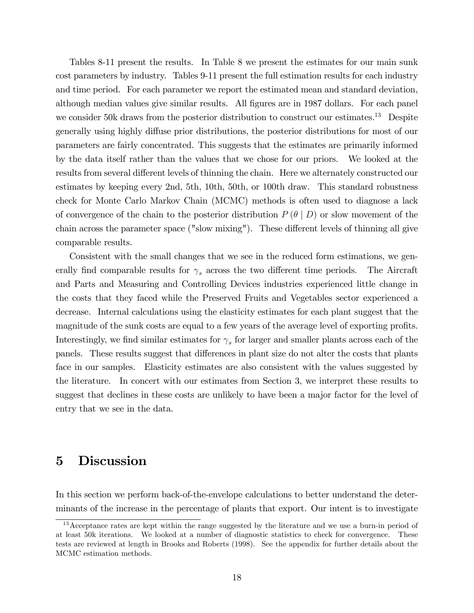Tables 8-11 present the results. In Table 8 we present the estimates for our main sunk cost parameters by industry. Tables 9-11 present the full estimation results for each industry and time period. For each parameter we report the estimated mean and standard deviation, although median values give similar results. All Ögures are in 1987 dollars. For each panel we consider 50k draws from the posterior distribution to construct our estimates.<sup>13</sup> Despite generally using highly diffuse prior distributions, the posterior distributions for most of our parameters are fairly concentrated. This suggests that the estimates are primarily informed by the data itself rather than the values that we chose for our priors. We looked at the results from several different levels of thinning the chain. Here we alternately constructed our estimates by keeping every 2nd, 5th, 10th, 50th, or 100th draw. This standard robustness check for Monte Carlo Markov Chain (MCMC) methods is often used to diagnose a lack of convergence of the chain to the posterior distribution  $P(\theta | D)$  or slow movement of the chain across the parameter space ("slow mixing"). These different levels of thinning all give comparable results.

Consistent with the small changes that we see in the reduced form estimations, we generally find comparable results for  $\gamma_s$  across the two different time periods. The Aircraft and Parts and Measuring and Controlling Devices industries experienced little change in the costs that they faced while the Preserved Fruits and Vegetables sector experienced a decrease. Internal calculations using the elasticity estimates for each plant suggest that the magnitude of the sunk costs are equal to a few years of the average level of exporting profits. Interestingly, we find similar estimates for  $\gamma_s$  for larger and smaller plants across each of the panels. These results suggest that differences in plant size do not alter the costs that plants face in our samples. Elasticity estimates are also consistent with the values suggested by the literature. In concert with our estimates from Section 3, we interpret these results to suggest that declines in these costs are unlikely to have been a major factor for the level of entry that we see in the data.

#### 5 Discussion

In this section we perform back-of-the-envelope calculations to better understand the determinants of the increase in the percentage of plants that export. Our intent is to investigate

<sup>&</sup>lt;sup>13</sup> Acceptance rates are kept within the range suggested by the literature and we use a burn-in period of at least 50k iterations. We looked at a number of diagnostic statistics to check for convergence. These tests are reviewed at length in Brooks and Roberts (1998). See the appendix for further details about the MCMC estimation methods.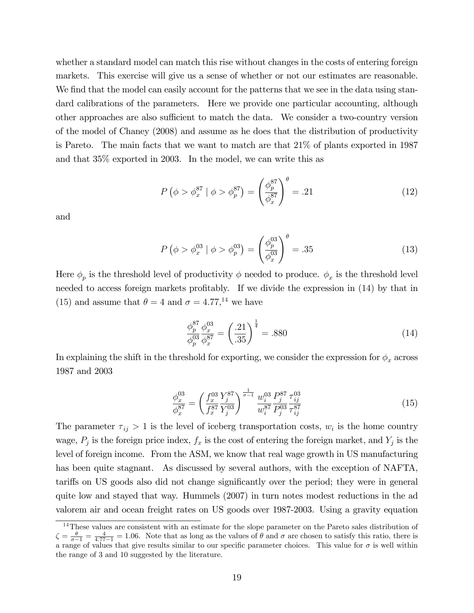whether a standard model can match this rise without changes in the costs of entering foreign markets. This exercise will give us a sense of whether or not our estimates are reasonable. We find that the model can easily account for the patterns that we see in the data using standard calibrations of the parameters. Here we provide one particular accounting, although other approaches are also sufficient to match the data. We consider a two-country version of the model of Chaney (2008) and assume as he does that the distribution of productivity is Pareto. The main facts that we want to match are that 21% of plants exported in 1987 and that 35% exported in 2003. In the model, we can write this as

$$
P\left(\phi > \phi_x^{87} \mid \phi > \phi_p^{87}\right) = \left(\frac{\phi_p^{87}}{\phi_x^{87}}\right)^{\theta} = .21\tag{12}
$$

and

$$
P(\phi > \phi_x^{03} | \phi > \phi_p^{03}) = \left(\frac{\phi_p^{03}}{\phi_x^{03}}\right)^{\theta} = .35
$$
 (13)

Here  $\phi_p$  is the threshold level of productivity  $\phi$  needed to produce.  $\phi_x$  is the threshold level needed to access foreign markets profitably. If we divide the expression in  $(14)$  by that in (15) and assume that  $\theta = 4$  and  $\sigma = 4.77$ ,<sup>14</sup> we have

$$
\frac{\phi_p^{87}}{\phi_p^{03}} \frac{\phi_x^{03}}{\phi_x^{87}} = \left(\frac{.21}{.35}\right)^{\frac{1}{4}} = .880\tag{14}
$$

In explaining the shift in the threshold for exporting, we consider the expression for  $\phi_x$  across 1987 and 2003

$$
\frac{\phi_x^{03}}{\phi_x^{87}} = \left(\frac{f_x^{03}}{f_x^{87}} \frac{Y_j^{87}}{Y_j^{03}}\right)^{\frac{1}{\sigma - 1}} \frac{w_i^{03}}{w_i^{87}} \frac{P_j^{87}}{P_j^{03}} \frac{\tau_{ij}^{03}}{\tau_{ij}^{87}} \tag{15}
$$

The parameter  $\tau_{ij} > 1$  is the level of iceberg transportation costs,  $w_i$  is the home country wage,  $P_j$  is the foreign price index,  $f_x$  is the cost of entering the foreign market, and  $Y_j$  is the level of foreign income. From the ASM, we know that real wage growth in US manufacturing has been quite stagnant. As discussed by several authors, with the exception of NAFTA, tariffs on US goods also did not change significantly over the period; they were in general quite low and stayed that way. Hummels (2007) in turn notes modest reductions in the ad valorem air and ocean freight rates on US goods over 1987-2003. Using a gravity equation

<sup>&</sup>lt;sup>14</sup>These values are consistent with an estimate for the slope parameter on the Pareto sales distribution of  $\zeta = \frac{\theta}{\sigma - 1} = \frac{4}{4 \cdot 77 - 1} = 1.06$ . Note that as long as the values of  $\theta$  and  $\sigma$  are chosen to satisfy this ratio, there is a range of values that give results similar to our specific parameter choices. This value for  $\sigma$  is well within the range of 3 and 10 suggested by the literature.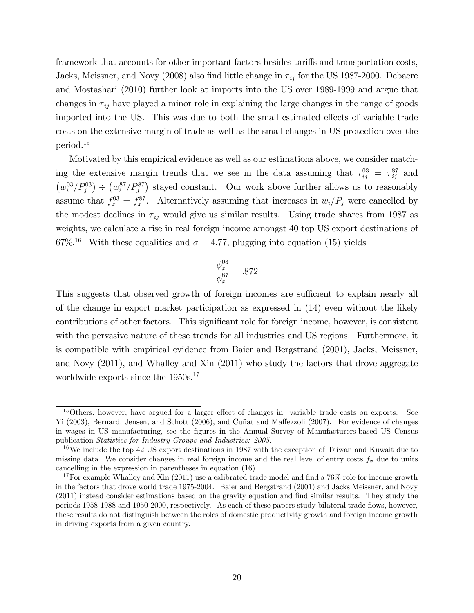framework that accounts for other important factors besides tariffs and transportation costs, Jacks, Meissner, and Novy (2008) also find little change in  $\tau_{ij}$  for the US 1987-2000. Debaere and Mostashari (2010) further look at imports into the US over 1989-1999 and argue that changes in  $\tau_{ij}$  have played a minor role in explaining the large changes in the range of goods imported into the US. This was due to both the small estimated effects of variable trade costs on the extensive margin of trade as well as the small changes in US protection over the period.<sup>15</sup>

Motivated by this empirical evidence as well as our estimations above, we consider matching the extensive margin trends that we see in the data assuming that  $\tau_{ij}^{03} = \tau_{ij}^{87}$  and  $(w_i^{03}/P_j^{03})$   $\div$   $(w_i^{87}/P_j^{87})$  stayed constant. Our work above further allows us to reasonably assume that  $f_x^{03} = f_x^{87}$ . Alternatively assuming that increases in  $w_i/P_j$  were cancelled by the modest declines in  $\tau_{ij}$  would give us similar results. Using trade shares from 1987 as weights, we calculate a rise in real foreign income amongst 40 top US export destinations of 67%<sup>16</sup> With these equalities and  $\sigma = 4.77$ , plugging into equation (15) yields

$$
\frac{\phi_x^{03}}{\phi_x^{87}}=.872
$$

This suggests that observed growth of foreign incomes are sufficient to explain nearly all of the change in export market participation as expressed in (14) even without the likely contributions of other factors. This significant role for foreign income, however, is consistent with the pervasive nature of these trends for all industries and US regions. Furthermore, it is compatible with empirical evidence from Baier and Bergstrand (2001), Jacks, Meissner, and Novy (2011), and Whalley and Xin (2011) who study the factors that drove aggregate worldwide exports since the 1950s.<sup>17</sup>

 $15$ Others, however, have argued for a larger effect of changes in variable trade costs on exports. See Yi (2003), Bernard, Jensen, and Schott (2006), and Cuñat and Maffezzoli (2007). For evidence of changes in wages in US manufacturing, see the Ögures in the Annual Survey of Manufacturers-based US Census publication Statistics for Industry Groups and Industries: 2005.

<sup>&</sup>lt;sup>16</sup>We include the top 42 US export destinations in 1987 with the exception of Taiwan and Kuwait due to missing data. We consider changes in real foreign income and the real level of entry costs  $f_x$  due to units cancelling in the expression in parentheses in equation (16).

<sup>&</sup>lt;sup>17</sup>For example Whalley and Xin (2011) use a calibrated trade model and find a  $76\%$  role for income growth in the factors that drove world trade 1975-2004. Baier and Bergstrand (2001) and Jacks Meissner, and Novy (2011) instead consider estimations based on the gravity equation and Önd similar results. They study the periods 1958-1988 and 1950-2000, respectively. As each of these papers study bilateral trade áows, however, these results do not distinguish between the roles of domestic productivity growth and foreign income growth in driving exports from a given country.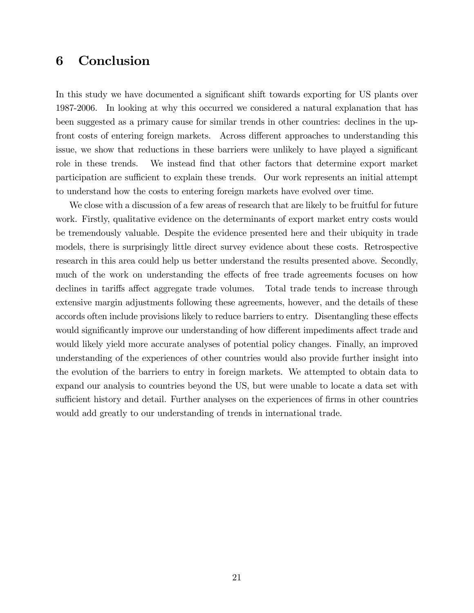## 6 Conclusion

In this study we have documented a significant shift towards exporting for US plants over 1987-2006. In looking at why this occurred we considered a natural explanation that has been suggested as a primary cause for similar trends in other countries: declines in the upfront costs of entering foreign markets. Across different approaches to understanding this issue, we show that reductions in these barriers were unlikely to have played a significant role in these trends. We instead find that other factors that determine export market participation are sufficient to explain these trends. Our work represents an initial attempt to understand how the costs to entering foreign markets have evolved over time.

We close with a discussion of a few areas of research that are likely to be fruitful for future work. Firstly, qualitative evidence on the determinants of export market entry costs would be tremendously valuable. Despite the evidence presented here and their ubiquity in trade models, there is surprisingly little direct survey evidence about these costs. Retrospective research in this area could help us better understand the results presented above. Secondly, much of the work on understanding the effects of free trade agreements focuses on how declines in tariffs affect aggregate trade volumes. Total trade tends to increase through extensive margin adjustments following these agreements, however, and the details of these accords often include provisions likely to reduce barriers to entry. Disentangling these effects would significantly improve our understanding of how different impediments affect trade and would likely yield more accurate analyses of potential policy changes. Finally, an improved understanding of the experiences of other countries would also provide further insight into the evolution of the barriers to entry in foreign markets. We attempted to obtain data to expand our analysis to countries beyond the US, but were unable to locate a data set with sufficient history and detail. Further analyses on the experiences of firms in other countries would add greatly to our understanding of trends in international trade.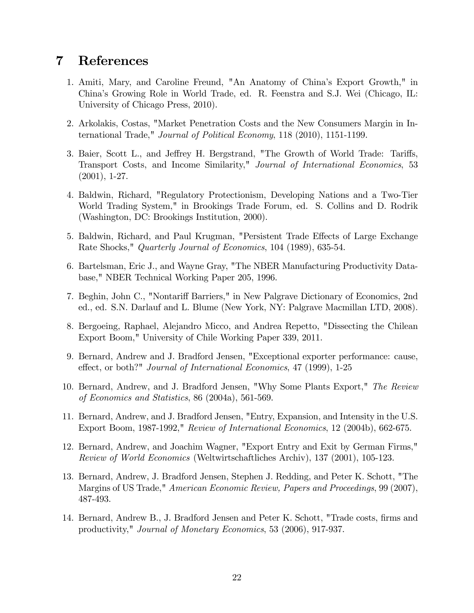## 7 References

- 1. Amiti, Mary, and Caroline Freund, "An Anatomy of Chinaís Export Growth," in Chinaís Growing Role in World Trade, ed. R. Feenstra and S.J. Wei (Chicago, IL: University of Chicago Press, 2010).
- 2. Arkolakis, Costas, "Market Penetration Costs and the New Consumers Margin in International Trade," Journal of Political Economy, 118 (2010), 1151-1199.
- 3. Baier, Scott L., and Jeffrey H. Bergstrand, "The Growth of World Trade: Tariffs, Transport Costs, and Income Similarity," Journal of International Economics, 53 (2001), 1-27.
- 4. Baldwin, Richard, "Regulatory Protectionism, Developing Nations and a Two-Tier World Trading System," in Brookings Trade Forum, ed. S. Collins and D. Rodrik (Washington, DC: Brookings Institution, 2000).
- 5. Baldwin, Richard, and Paul Krugman, "Persistent Trade Effects of Large Exchange Rate Shocks," Quarterly Journal of Economics, 104 (1989), 635-54.
- 6. Bartelsman, Eric J., and Wayne Gray, "The NBER Manufacturing Productivity Database," NBER Technical Working Paper 205, 1996.
- 7. Beghin, John C., "Nontariff Barriers," in New Palgrave Dictionary of Economics, 2nd ed., ed. S.N. Darlauf and L. Blume (New York, NY: Palgrave Macmillan LTD, 2008).
- 8. Bergoeing, Raphael, Alejandro Micco, and Andrea Repetto, "Dissecting the Chilean Export Boom," University of Chile Working Paper 339, 2011.
- 9. Bernard, Andrew and J. Bradford Jensen, "Exceptional exporter performance: cause, effect, or both?" *Journal of International Economics*, 47 (1999), 1-25
- 10. Bernard, Andrew, and J. Bradford Jensen, "Why Some Plants Export," The Review of Economics and Statistics, 86 (2004a), 561-569.
- 11. Bernard, Andrew, and J. Bradford Jensen, "Entry, Expansion, and Intensity in the U.S. Export Boom, 1987-1992," Review of International Economics, 12 (2004b), 662-675.
- 12. Bernard, Andrew, and Joachim Wagner, "Export Entry and Exit by German Firms," Review of World Economics (Weltwirtschaftliches Archiv), 137 (2001), 105-123.
- 13. Bernard, Andrew, J. Bradford Jensen, Stephen J. Redding, and Peter K. Schott, "The Margins of US Trade," *American Economic Review, Papers and Proceedings*, 99 (2007), 487-493.
- 14. Bernard, Andrew B., J. Bradford Jensen and Peter K. Schott, "Trade costs, firms and productivity," Journal of Monetary Economics, 53 (2006), 917-937.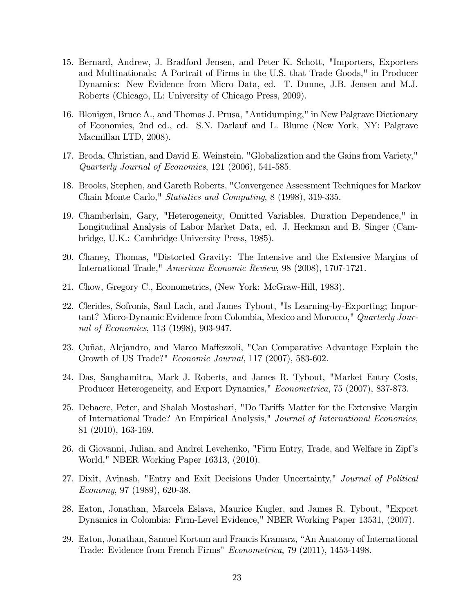- 15. Bernard, Andrew, J. Bradford Jensen, and Peter K. Schott, "Importers, Exporters and Multinationals: A Portrait of Firms in the U.S. that Trade Goods," in Producer Dynamics: New Evidence from Micro Data, ed. T. Dunne, J.B. Jensen and M.J. Roberts (Chicago, IL: University of Chicago Press, 2009).
- 16. Blonigen, Bruce A., and Thomas J. Prusa, "Antidumping," in New Palgrave Dictionary of Economics, 2nd ed., ed. S.N. Darlauf and L. Blume (New York, NY: Palgrave Macmillan LTD, 2008).
- 17. Broda, Christian, and David E. Weinstein, "Globalization and the Gains from Variety," Quarterly Journal of Economics, 121 (2006), 541-585.
- 18. Brooks, Stephen, and Gareth Roberts, "Convergence Assessment Techniques for Markov Chain Monte Carlo," Statistics and Computing, 8 (1998), 319-335.
- 19. Chamberlain, Gary, "Heterogeneity, Omitted Variables, Duration Dependence," in Longitudinal Analysis of Labor Market Data, ed. J. Heckman and B. Singer (Cambridge, U.K.: Cambridge University Press, 1985).
- 20. Chaney, Thomas, "Distorted Gravity: The Intensive and the Extensive Margins of International Trade," American Economic Review, 98 (2008), 1707-1721.
- 21. Chow, Gregory C., Econometrics, (New York: McGraw-Hill, 1983).
- 22. Clerides, Sofronis, Saul Lach, and James Tybout, "Is Learning-by-Exporting; Important? Micro-Dynamic Evidence from Colombia, Mexico and Morocco," Quarterly Journal of Economics, 113 (1998), 903-947.
- 23. Cuñat, Alejandro, and Marco Maffezzoli, "Can Comparative Advantage Explain the Growth of US Trade?" Economic Journal, 117 (2007), 583-602.
- 24. Das, Sanghamitra, Mark J. Roberts, and James R. Tybout, "Market Entry Costs, Producer Heterogeneity, and Export Dynamics," Econometrica, 75 (2007), 837-873.
- 25. Debaere, Peter, and Shalah Mostashari, "Do Tariffs Matter for the Extensive Margin of International Trade? An Empirical Analysis," Journal of International Economics, 81 (2010), 163-169.
- 26. di Giovanni, Julian, and Andrei Levchenko, "Firm Entry, Trade, and Welfare in Zipfís World," NBER Working Paper 16313, (2010).
- 27. Dixit, Avinash, "Entry and Exit Decisions Under Uncertainty," Journal of Political Economy, 97 (1989), 620-38.
- 28. Eaton, Jonathan, Marcela Eslava, Maurice Kugler, and James R. Tybout, "Export Dynamics in Colombia: Firm-Level Evidence," NBER Working Paper 13531, (2007).
- 29. Eaton, Jonathan, Samuel Kortum and Francis Kramarz, "An Anatomy of International Trade: Evidence from French Firms" Econometrica, 79 (2011), 1453-1498.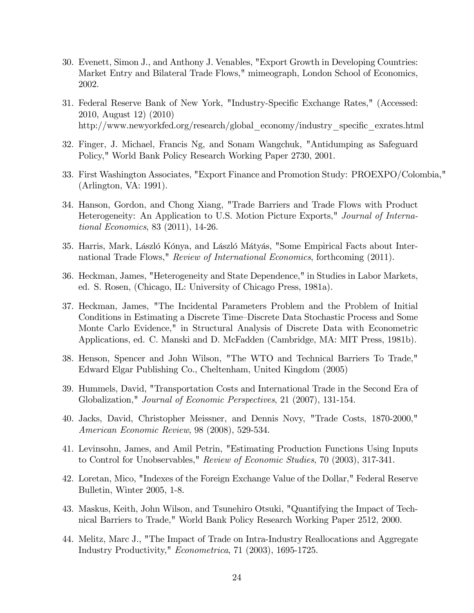- 30. Evenett, Simon J., and Anthony J. Venables, "Export Growth in Developing Countries: Market Entry and Bilateral Trade Flows," mimeograph, London School of Economics, 2002.
- 31. Federal Reserve Bank of New York, "Industry-Specific Exchange Rates," (Accessed: 2010, August 12) (2010) http://www.newyorkfed.org/research/global\_economy/industry\_specific\_exrates.html
- 32. Finger, J. Michael, Francis Ng, and Sonam Wangchuk, "Antidumping as Safeguard Policy," World Bank Policy Research Working Paper 2730, 2001.
- 33. First Washington Associates, "Export Finance and Promotion Study: PROEXPO/Colombia," (Arlington, VA: 1991).
- 34. Hanson, Gordon, and Chong Xiang, "Trade Barriers and Trade Flows with Product Heterogeneity: An Application to U.S. Motion Picture Exports," Journal of International Economics, 83 (2011), 14-26.
- 35. Harris, Mark, László Kónya, and László Mátyás, "Some Empirical Facts about International Trade Flows," Review of International Economics, forthcoming (2011).
- 36. Heckman, James, "Heterogeneity and State Dependence," in Studies in Labor Markets, ed. S. Rosen, (Chicago, IL: University of Chicago Press, 1981a).
- 37. Heckman, James, "The Incidental Parameters Problem and the Problem of Initial Conditions in Estimating a Discrete Time–Discrete Data Stochastic Process and Some Monte Carlo Evidence," in Structural Analysis of Discrete Data with Econometric Applications, ed. C. Manski and D. McFadden (Cambridge, MA: MIT Press, 1981b).
- 38. Henson, Spencer and John Wilson, "The WTO and Technical Barriers To Trade," Edward Elgar Publishing Co., Cheltenham, United Kingdom (2005)
- 39. Hummels, David, "Transportation Costs and International Trade in the Second Era of Globalization," Journal of Economic Perspectives, 21 (2007), 131-154.
- 40. Jacks, David, Christopher Meissner, and Dennis Novy, "Trade Costs, 1870-2000," American Economic Review, 98 (2008), 529-534.
- 41. Levinsohn, James, and Amil Petrin, "Estimating Production Functions Using Inputs to Control for Unobservables," Review of Economic Studies, 70 (2003), 317-341.
- 42. Loretan, Mico, "Indexes of the Foreign Exchange Value of the Dollar," Federal Reserve Bulletin, Winter 2005, 1-8.
- 43. Maskus, Keith, John Wilson, and Tsunehiro Otsuki, "Quantifying the Impact of Technical Barriers to Trade," World Bank Policy Research Working Paper 2512, 2000.
- 44. Melitz, Marc J., "The Impact of Trade on Intra-Industry Reallocations and Aggregate Industry Productivity," Econometrica, 71 (2003), 1695-1725.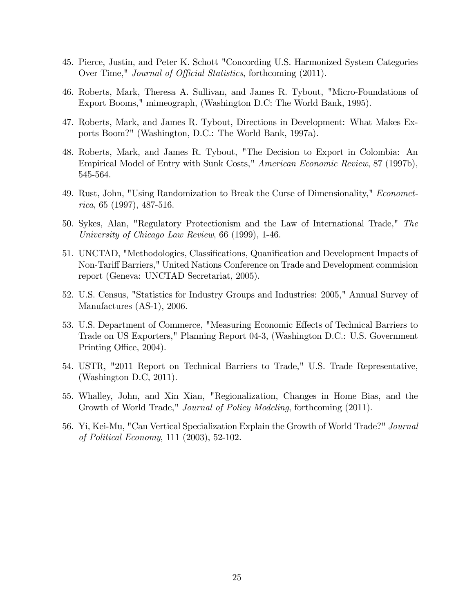- 45. Pierce, Justin, and Peter K. Schott "Concording U.S. Harmonized System Categories Over Time," *Journal of Official Statistics*, forthcoming (2011).
- 46. Roberts, Mark, Theresa A. Sullivan, and James R. Tybout, "Micro-Foundations of Export Booms," mimeograph, (Washington D.C: The World Bank, 1995).
- 47. Roberts, Mark, and James R. Tybout, Directions in Development: What Makes Exports Boom?" (Washington, D.C.: The World Bank, 1997a).
- 48. Roberts, Mark, and James R. Tybout, "The Decision to Export in Colombia: An Empirical Model of Entry with Sunk Costs," American Economic Review, 87 (1997b), 545-564.
- 49. Rust, John, "Using Randomization to Break the Curse of Dimensionality," Econometrica, 65 (1997), 487-516.
- 50. Sykes, Alan, "Regulatory Protectionism and the Law of International Trade," The University of Chicago Law Review, 66 (1999), 1-46.
- 51. UNCTAD, "Methodologies, Classifications, Quanification and Development Impacts of Non-Tariff Barriers," United Nations Conference on Trade and Development commision report (Geneva: UNCTAD Secretariat, 2005).
- 52. U.S. Census, "Statistics for Industry Groups and Industries: 2005," Annual Survey of Manufactures (AS-1), 2006.
- 53. U.S. Department of Commerce, "Measuring Economic Effects of Technical Barriers to Trade on US Exporters," Planning Report 04-3, (Washington D.C.: U.S. Government Printing Office, 2004).
- 54. USTR, "2011 Report on Technical Barriers to Trade," U.S. Trade Representative, (Washington D.C, 2011).
- 55. Whalley, John, and Xin Xian, "Regionalization, Changes in Home Bias, and the Growth of World Trade," *Journal of Policy Modeling*, forthcoming (2011).
- 56. Yi, Kei-Mu, "Can Vertical Specialization Explain the Growth of World Trade?" Journal of Political Economy, 111 (2003), 52-102.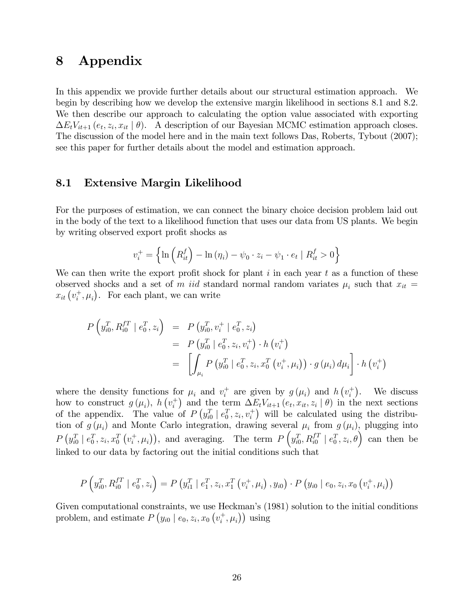#### 8 Appendix

In this appendix we provide further details about our structural estimation approach. We begin by describing how we develop the extensive margin likelihood in sections 8.1 and 8.2. We then describe our approach to calculating the option value associated with exporting  $\Delta E_t V_{it+1}$   $(e_t, z_i, x_{it} | \theta)$ . A description of our Bayesian MCMC estimation approach closes. The discussion of the model here and in the main text follows Das, Roberts, Tybout (2007); see this paper for further details about the model and estimation approach.

#### 8.1 Extensive Margin Likelihood

For the purposes of estimation, we can connect the binary choice decision problem laid out in the body of the text to a likelihood function that uses our data from US plants. We begin by writing observed export profit shocks as

$$
v_i^+ = \left\{ \ln \left( R_{it}^f \right) - \ln \left( \eta_i \right) - \psi_0 \cdot z_i - \psi_1 \cdot e_t \mid R_{it}^f > 0 \right\}
$$

We can then write the export profit shock for plant  $i$  in each year  $t$  as a function of these observed shocks and a set of m iid standard normal random variates  $\mu_i$  such that  $x_{it}$  $x_{it}$   $(v_i^+)$  $i^+$ ,  $\mu_i$ ). For each plant, we can write

$$
P\left(y_{i0}^T, R_{i0}^{f T} \mid e_0^T, z_i\right) = P\left(y_{i0}^T, v_i^+ \mid e_0^T, z_i\right)
$$
  
= 
$$
P\left(y_{i0}^T \mid e_0^T, z_i, v_i^+\right) \cdot h\left(v_i^+\right)
$$
  
= 
$$
\left[\int_{\mu_i} P\left(y_{i0}^T \mid e_0^T, z_i, x_0^T\left(v_i^+, \mu_i\right)\right) \cdot g\left(\mu_i\right) d\mu_i\right] \cdot h\left(v_i^+\right)
$$

where the density functions for  $\mu_i$  and  $v_i^+$ <sup>+</sup> are given by  $g(\mu_i)$  and  $h(v_i^+$  $i^+$ ). We discuss how to construct  $g(\mu_i)$ ,  $h(v_i^+)$ <sup>+</sup>) and the term  $\Delta E_t V_{it+1} (e_t, x_{it}, z_i | \theta)$  in the next sections of the appendix. The value of  $P(y_{i0}^T | e_0^T, z_i, v_i^+)$  will be calculated using the distribution of  $g(\mu_i)$  and Monte Carlo integration, drawing several  $\mu_i$  from  $g(\mu_i)$ , plugging into  $P\left(y_{i0}^T \mid e_0^T, z_i, x_0^T\left(v_i^+\right)\right)$  $(i, \mu_i)$ , and averaging. The term  $P\left(y_{i0}^T, R_{i0}^{fT} \mid e_0^T, z_i, \theta\right)$  can then be linked to our data by factoring out the initial conditions such that

$$
P\left(y_{i0}^T, R_{i0}^{f T} \mid e_0^T, z_i\right) = P\left(y_{i1}^T \mid e_1^T, z_i, x_1^T\left(v_i^+, \mu_i\right), y_{i0}\right) \cdot P\left(y_{i0} \mid e_0, z_i, x_0\left(v_i^+, \mu_i\right)\right)
$$

Given computational constraints, we use Heckman's (1981) solution to the initial conditions problem, and estimate  $P(y_{i0} | e_0, z_i, x_0 (v_i^+))$  $(\vec{i}, \mu_i)$  using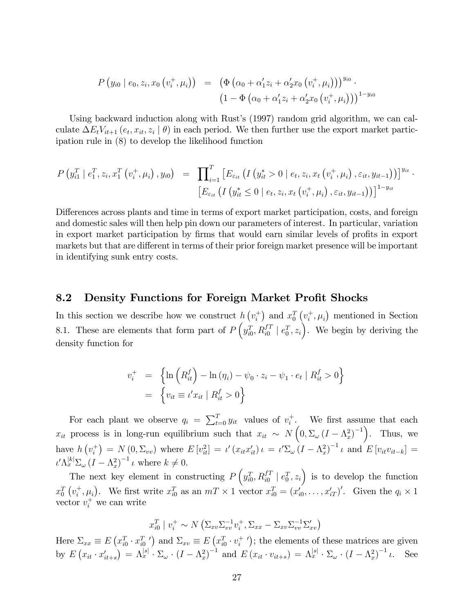$$
P(y_{i0} | e_0, z_i, x_0 (v_i^+, \mu_i)) = (\Phi(\alpha_0 + \alpha'_1 z_i + \alpha'_2 x_0 (v_i^+, \mu_i)))^{y_{i0}} \cdot (1 - \Phi(\alpha_0 + \alpha'_1 z_i + \alpha'_2 x_0 (v_i^+, \mu_i)))^{1-y_{i0}}
$$

Using backward induction along with Rust's (1997) random grid algorithm, we can calculate  $\Delta E_t V_{it+1}(e_t, x_{it}, z_i | \theta)$  in each period. We then further use the export market participation rule in (8) to develop the likelihood function

$$
P(y_{i1}^T | e_1^T, z_i, x_1^T (v_i^+, \mu_i), y_{i0}) = \prod_{i=1}^T \left[ E_{\varepsilon_{it}} \left( I(y_{it}^* > 0 | e_t, z_i, x_t (v_i^+, \mu_i), \varepsilon_{it}, y_{it-1}) \right) \right]^{y_{it}} \cdot \left[ E_{\varepsilon_{it}} \left( I(y_{it}^* \le 0 | e_t, z_i, x_t (v_i^+, \mu_i), \varepsilon_{it}, y_{it-1}) \right) \right]^{1-y_{it}}
$$

Differences across plants and time in terms of export market participation, costs, and foreign and domestic sales will then help pin down our parameters of interest. In particular, variation in export market participation by firms that would earn similar levels of profits in export markets but that are different in terms of their prior foreign market presence will be important in identifying sunk entry costs.

#### 8.2 Density Functions for Foreign Market Profit Shocks

In this section we describe how we construct  $h(v_i^+)$  $x_0^{\dagger}$  and  $x_0^T(v_i^+)$  $\mu_i^+$ ,  $\mu_i$ ) mentioned in Section 8.1. These are elements that form part of  $P\left(y_{i0}^T, R_{i0}^{f} \mid e_0^T, z_i\right)$ . We begin by deriving the density function for

$$
v_i^+ = \left\{ \ln \left( R_{it}^f \right) - \ln \left( \eta_i \right) - \psi_0 \cdot z_i - \psi_1 \cdot e_t \mid R_{it}^f > 0 \right\}
$$
  
= 
$$
\left\{ v_{it} \equiv \iota' x_{it} \mid R_{it}^f > 0 \right\}
$$

For each plant we observe  $q_i = \sum_{t=0}^{T} y_{it}$  values of  $v_i^+$  $i^+$ . We first assume that each  $x_{it}$  process is in long-run equilibrium such that  $x_{it} \sim N\left(0, \Sigma_{\omega} (I - \Lambda_x^2)^{-1}\right)$ . Thus, we have  $h(v_i^+)$  $i_t^{\text{+}}$  =  $N(0, \Sigma_{vv})$  where  $E[v_{it}^2] = \iota'(x_{it}x_{it}') \iota = \iota' \Sigma_{\omega} (I - \Lambda_x^2)^{-1} \iota$  and  $E[v_{it}v_{it-k}] =$  $\iota'\Lambda_x^{|k|}\Sigma_\omega (I - \Lambda_x^2)^{-1} \iota$  where  $k \neq 0$ .

The next key element in constructing  $P\left(y_{i0}^T, R_{i0}^{f} \mid e_0^T, z_i\right)$  is to develop the function  $x_0^T\left(v_i^+\right)$  $(i, \mu_i)$ . We first write  $x_{i0}^T$  as an  $mT \times 1$  vector  $x_{i0}^T = (x_{i0}^T, \ldots, x_{iT}^T)'$ . Given the  $q_i \times 1$ vector  $v_i^+$  we can write

$$
x_{i0}^T \mid v_i^+ \sim N\left(\Sigma_{xv}\Sigma_{vv}^{-1}v_i^+, \Sigma_{xx} - \Sigma_{xv}\Sigma_{vv}^{-1}\Sigma_{xv}'\right)
$$

Here  $\Sigma_{xx} \equiv E(x_{i0}^T \cdot x_{i0}^T)$  and  $\Sigma_{xy} \equiv E(x_{i0}^T \cdot v_i^+$  $_{i}^{+}$  $')$ ; the elements of these matrices are given by  $E\left(x_{it} \cdot x'_{it+s}\right) = \Lambda_x^{|s|} \cdot \Sigma_\omega \cdot \left(I - \Lambda_x^2\right)^{-1}$  and  $E\left(x_{it} \cdot v_{it+s}\right) = \Lambda_x^{|s|} \cdot \Sigma_\omega \cdot \left(I - \Lambda_x^2\right)^{-1} \iota$ . See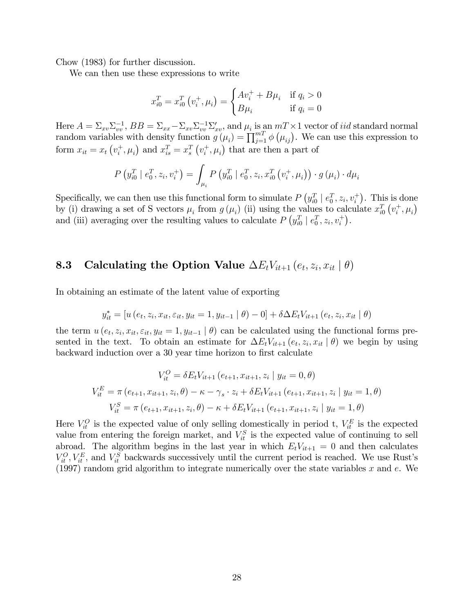Chow (1983) for further discussion.

We can then use these expressions to write

$$
x_{i0}^T = x_{i0}^T (v_i^+, \mu_i) = \begin{cases} Av_i^+ + B\mu_i & \text{if } q_i > 0\\ B\mu_i & \text{if } q_i = 0 \end{cases}
$$

Here  $A = \sum_{xv} \sum_{vv}^{-1}$ ,  $BB = \sum_{xx} -\sum_{xv} \sum_{vv}^{-1} \sum_{xv}^{\prime}$ , and  $\mu_i$  is an  $m \rightarrow \infty$  vector of *iid* standard normal random variables with density function  $g(\mu_i) = \prod_{j=1}^{m} \phi(\mu_{ij})$ . We can use this expression to form  $x_{it} = x_t \left( v_i^+ \right)$  $x_i^+, \mu_i$  and  $x_{is}^T = x_s^T (v_i^+)$  $(i<sup>+</sup>, \mu<sub>i</sub>)$  that are then a part of

$$
P(y_{i0}^T | e_0^T, z_i, v_i^+) = \int_{\mu_i} P(y_{i0}^T | e_0^T, z_i, x_{i0}^T (v_i^+, \mu_i)) \cdot g(\mu_i) \cdot d\mu_i
$$

Specifically, we can then use this functional form to simulate  $P(y_{i0}^T | e_0^T, z_i, v_i^+)$ . This is done by (i) drawing a set of S vectors  $\mu_i$  from  $g(\mu_i)$  (ii) using the values to calculate  $x_{i0}^T(v_i^+)$  $i^+,\mu_i$ and (iii) averaging over the resulting values to calculate  $P(y_{i0}^T | e_0^T, z_i, v_i^+)$ .

## **8.3** Calculating the Option Value  $\Delta E_t V_{it+1} \left( e_t, z_i, x_{it} \mid \theta \right)$

In obtaining an estimate of the latent value of exporting

$$
y_{it}^* = [u(e_t, z_i, x_{it}, \varepsilon_{it}, y_{it} = 1, y_{it-1} | \theta) - 0] + \delta \Delta E_t V_{it+1}(e_t, z_i, x_{it} | \theta)
$$

the term  $u(e_t, z_i, x_{it}, \varepsilon_{it}, y_{it} = 1, y_{it-1} | \theta)$  can be calculated using the functional forms presented in the text. To obtain an estimate for  $\Delta E_t V_{it+1} (e_t, z_i, x_{it} | \theta)$  we begin by using backward induction over a 30 year time horizon to first calculate

$$
V_{it}^{O} = \delta E_t V_{it+1} (e_{t+1}, x_{it+1}, z_i | y_{it} = 0, \theta)
$$
  
\n
$$
V_{it}^{E} = \pi (e_{t+1}, x_{it+1}, z_i, \theta) - \kappa - \gamma_s \cdot z_i + \delta E_t V_{it+1} (e_{t+1}, x_{it+1}, z_i | y_{it} = 1, \theta)
$$
  
\n
$$
V_{it}^{S} = \pi (e_{t+1}, x_{it+1}, z_i, \theta) - \kappa + \delta E_t V_{it+1} (e_{t+1}, x_{it+1}, z_i | y_{it} = 1, \theta)
$$

Here  $V_{it}^O$  is the expected value of only selling domestically in period t,  $V_{it}^E$  is the expected value from entering the foreign market, and  $V_{it}^{S}$  is the expected value of continuing to sell abroad. The algorithm begins in the last year in which  $E_tV_{it+1} = 0$  and then calculates  $V_{it}^O, V_{it}^E$ , and  $V_{it}^S$  backwards successively until the current period is reached. We use Rust's (1997) random grid algorithm to integrate numerically over the state variables  $x$  and  $e$ . We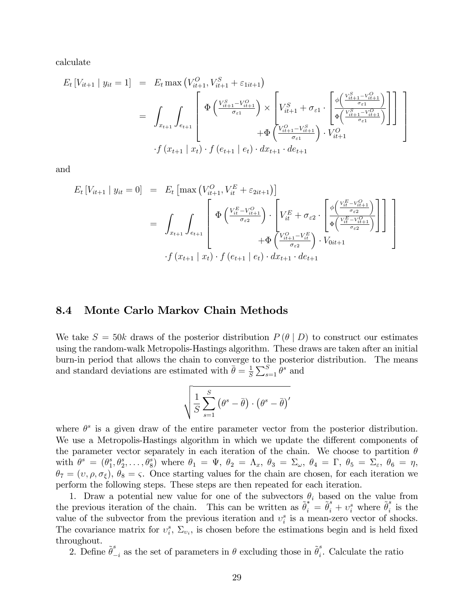calculate

$$
E_{t}[V_{it+1} | y_{it} = 1] = E_{t} \max (V_{it+1}^{O}, V_{it+1}^{S} + \varepsilon_{1it+1})
$$
  
\n
$$
= \int_{x_{t+1}} \int_{e_{t+1}} \left[ \Phi \left( \frac{V_{it+1}^{S} - V_{it+1}^{O}}{\sigma_{\varepsilon 1}} \right) \times \left[ V_{it+1}^{S} + \sigma_{\varepsilon 1} \cdot \left[ \frac{\phi \left( \frac{V_{it+1}^{S} - V_{it+1}^{O}}{\sigma_{\varepsilon 1}} \right)}{\phi \left( \frac{V_{it+1}^{S} - V_{it+1}^{O}}{\sigma_{\varepsilon 1}} \right)} \right] \right] \right]
$$
  
\n
$$
\cdot f (x_{t+1} | x_{t}) \cdot f (e_{t+1} | e_{t}) \cdot dx_{t+1} \cdot de_{t+1}
$$

and

$$
E_{t}[V_{it+1} | y_{it} = 0] = E_{t}[\max (V_{it+1}^{O}, V_{it}^{E} + \varepsilon_{2it+1})]
$$
  
\n
$$
= \int_{x_{t+1}} \int_{e_{t+1}} \left[ \Phi \left( \frac{V_{it}^{E} - V_{it+1}^{O}}{\sigma_{\varepsilon 2}} \right) \cdot \left[ V_{it}^{E} + \sigma_{\varepsilon 2} \cdot \left[ \Phi \left( \frac{V_{it}^{E} - V_{it+1}^{O}}{\sigma_{\varepsilon 2}} \right) \right] \right] \right]
$$
  
\n
$$
+ \Phi \left( \frac{V_{it+1}^{O} - V_{it}^{E}}{\sigma_{\varepsilon 2}} \right) \cdot V_{0it+1}
$$
  
\n
$$
\cdot f (x_{t+1} | x_{t}) \cdot f (e_{t+1} | e_{t}) \cdot dx_{t+1} \cdot de_{t+1}
$$

#### 8.4 Monte Carlo Markov Chain Methods

We take  $S = 50k$  draws of the posterior distribution  $P(\theta | D)$  to construct our estimates using the random-walk Metropolis-Hastings algorithm. These draws are taken after an initial burn-in period that allows the chain to converge to the posterior distribution. The means and standard deviations are estimated with  $\bar{\theta} = \frac{1}{S}$  $\frac{1}{S} \sum_{s=1}^{S} \theta^s$  and

$$
\sqrt{\frac{1}{S}\sum_{s=1}^{S} (\theta^s - \bar{\theta}) \cdot (\theta^s - \bar{\theta})'}
$$

where  $\theta^s$  is a given draw of the entire parameter vector from the posterior distribution. We use a Metropolis-Hastings algorithm in which we update the different components of the parameter vector separately in each iteration of the chain. We choose to partition  $\theta$ with  $\theta^s = (\theta_1^s)$  $\{\theta_1^s, \theta_2^s, \ldots, \theta_8^s\}$  where  $\theta_1 = \Psi$ ,  $\theta_2 = \Lambda_x$ ,  $\theta_3 = \Sigma_\omega$ ,  $\theta_4 = \Gamma$ ,  $\theta_5 = \Sigma_\varepsilon$ ,  $\theta_6 = \eta$ ,  $\theta_7 = (v, \rho, \sigma_\xi), \theta_8 = \varsigma$ . Once starting values for the chain are chosen, for each iteration we perform the following steps. These steps are then repeated for each iteration.

1. Draw a potential new value for one of the subvectors  $\theta_i$  based on the value from the previous iteration of the chain. This can be written as  $\tilde{\theta}_i^* = \tilde{\theta}_i^s + v_i^s$  where  $\tilde{\theta}_i^s$  $i$  is the value of the subvector from the previous iteration and  $v_i^s$  is a mean-zero vector of shocks. The covariance matrix for  $v_i^s$ ,  $\Sigma_{v_i}$ , is chosen before the estimations begin and is held fixed throughout.

2. Define  $\tilde{\theta}_{-i}^s$  as the set of parameters in  $\theta$  excluding those in  $\tilde{\theta}_i^s$  $i$ . Calculate the ratio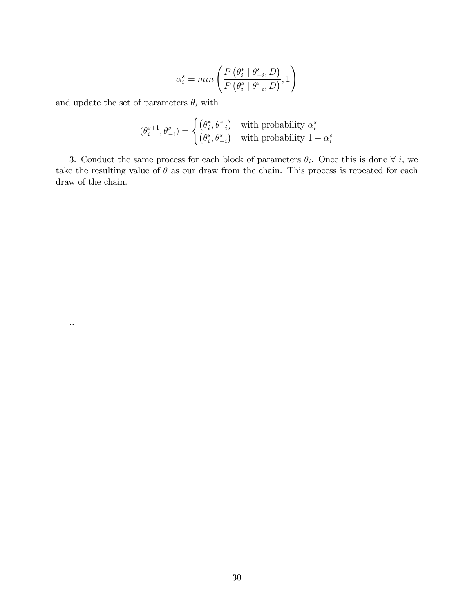$$
\alpha_i^s = min\left(\frac{P\left(\theta_i^* \mid \theta_{-i}^s, D\right)}{P\left(\theta_i^s \mid \theta_{-i}^s, D\right)}, 1\right)
$$

and update the set of parameters  $\theta_i$  with

..

$$
(\theta_i^{s+1}, \theta_{-i}^s) = \begin{cases} (\theta_i^*, \theta_{-i}^s) & \text{with probability } \alpha_i^s \\ (\theta_i^s, \theta_{-i}^s) & \text{with probability } 1 - \alpha_i^s \end{cases}
$$

3. Conduct the same process for each block of parameters  $\theta_i$ . Once this is done  $\forall i$ , we take the resulting value of  $\theta$  as our draw from the chain. This process is repeated for each draw of the chain.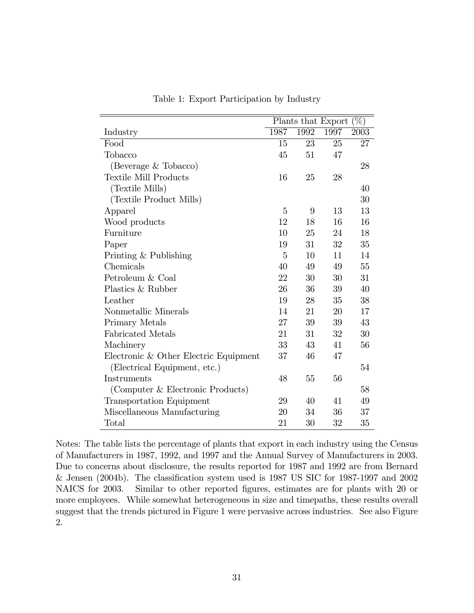|                                       | $\left(\%\right)$<br>Plants that Export |                   |      |      |
|---------------------------------------|-----------------------------------------|-------------------|------|------|
| Industry                              | 1987                                    | $199\overline{2}$ | 1997 | 2003 |
| Food                                  | 15                                      | 23                | 25   | 27   |
| Tobacco                               | 45                                      | 51                | 47   |      |
| (Beverage & Tobacco)                  |                                         |                   |      | 28   |
| <b>Textile Mill Products</b>          | 16                                      | 25                | 28   |      |
| (Textile Mills)                       |                                         |                   |      | 40   |
| (Textile Product Mills)               |                                         |                   |      | 30   |
| Apparel                               | 5                                       | 9                 | 13   | 13   |
| Wood products                         | 12                                      | 18                | 16   | 16   |
| Furniture                             | 10                                      | 25                | 24   | 18   |
| Paper                                 | 19                                      | 31                | 32   | 35   |
| Printing & Publishing                 | 5                                       | 10                | 11   | 14   |
| Chemicals                             | 40                                      | 49                | 49   | 55   |
| Petroleum & Coal                      | 22                                      | 30                | 30   | 31   |
| Plastics & Rubber                     | 26                                      | 36                | 39   | 40   |
| Leather                               | 19                                      | 28                | 35   | 38   |
| Nonmetallic Minerals                  | 14                                      | 21                | 20   | 17   |
| Primary Metals                        | 27                                      | 39                | 39   | 43   |
| <b>Fabricated Metals</b>              | 21                                      | 31                | 32   | 30   |
| Machinery                             | 33                                      | 43                | 41   | 56   |
| Electronic & Other Electric Equipment | 37                                      | 46                | 47   |      |
| (Electrical Equipment, etc.)          |                                         |                   |      | 54   |
| Instruments                           | 48                                      | 55                | 56   |      |
| (Computer & Electronic Products)      |                                         |                   |      | 58   |
| Transportation Equipment              | 29                                      | 40                | 41   | 49   |
| Miscellaneous Manufacturing           | 20                                      | 34                | 36   | 37   |
| Total                                 | 21                                      | 30                | 32   | 35   |

Table 1: Export Participation by Industry

Notes: The table lists the percentage of plants that export in each industry using the Census of Manufacturers in 1987, 1992, and 1997 and the Annual Survey of Manufacturers in 2003. Due to concerns about disclosure, the results reported for 1987 and 1992 are from Bernard  $\&$  Jensen (2004b). The classification system used is 1987 US SIC for 1987-1997 and 2002 NAICS for 2003. Similar to other reported figures, estimates are for plants with 20 or more employees. While somewhat heterogeneous in size and timepaths, these results overall suggest that the trends pictured in Figure 1 were pervasive across industries. See also Figure 2.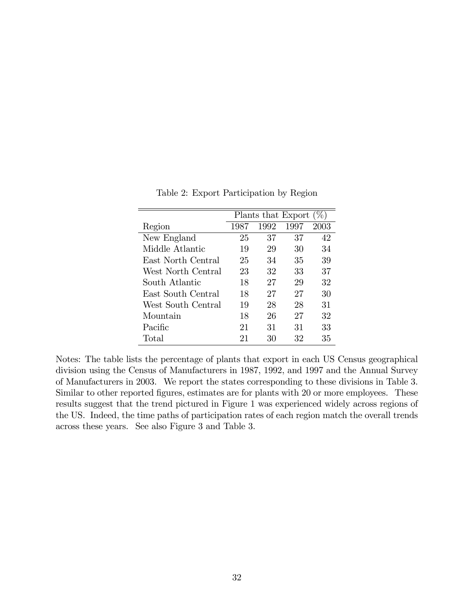|                    |      | Plants that Export |      | $(\%)$ |
|--------------------|------|--------------------|------|--------|
| Region             | 1987 | 1992               | 1997 | 2003   |
| New England        | 25   | 37                 | 37   | 42     |
| Middle Atlantic    | 19   | 29                 | 30   | 34     |
| East North Central | 25   | 34                 | 35   | 39     |
| West North Central | 23   | 32                 | 33   | 37     |
| South Atlantic     | 18   | 27                 | 29   | 32     |
| East South Central | 18   | 27                 | 27   | 30     |
| West South Central | 19   | 28                 | 28   | 31     |
| Mountain           | 18   | 26                 | 27   | 32     |
| Pacific            | 21   | 31                 | 31   | 33     |
| Total              | 21   | 30                 | 32   | 35     |

Table 2: Export Participation by Region

Notes: The table lists the percentage of plants that export in each US Census geographical division using the Census of Manufacturers in 1987, 1992, and 1997 and the Annual Survey of Manufacturers in 2003. We report the states corresponding to these divisions in Table 3. Similar to other reported figures, estimates are for plants with 20 or more employees. These results suggest that the trend pictured in Figure 1 was experienced widely across regions of the US. Indeed, the time paths of participation rates of each region match the overall trends across these years. See also Figure 3 and Table 3.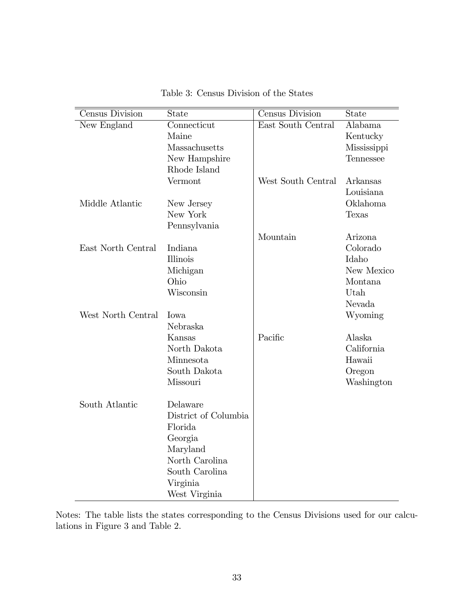| Census Division    | <b>State</b>         | Census Division    | State        |
|--------------------|----------------------|--------------------|--------------|
| New England        | Connecticut          | East South Central | Alabama      |
|                    | Maine                |                    | Kentucky     |
|                    | Massachusetts        |                    | Mississippi  |
|                    | New Hampshire        |                    | Tennessee    |
|                    | Rhode Island         |                    |              |
|                    | Vermont              | West South Central | Arkansas     |
|                    |                      |                    | Louisiana    |
| Middle Atlantic    | New Jersey           |                    | Oklahoma     |
|                    | New York             |                    | <b>Texas</b> |
|                    | Pennsylvania         |                    |              |
|                    |                      | Mountain           | Arizona      |
| East North Central | Indiana              |                    | Colorado     |
|                    | <b>Illinois</b>      |                    | Idaho        |
|                    | Michigan             |                    | New Mexico   |
|                    | Ohio                 |                    | Montana      |
|                    | Wisconsin            |                    | Utah         |
|                    |                      |                    | Nevada       |
| West North Central | Iowa                 |                    | Wyoming      |
|                    | Nebraska             |                    |              |
|                    | Kansas               | Pacific            | Alaska       |
|                    | North Dakota         |                    | California   |
|                    | Minnesota            |                    | Hawaii       |
|                    | South Dakota         |                    | Oregon       |
|                    | Missouri             |                    | Washington   |
|                    |                      |                    |              |
| South Atlantic     | Delaware             |                    |              |
|                    | District of Columbia |                    |              |
|                    | Florida              |                    |              |
|                    | Georgia              |                    |              |
|                    | Maryland             |                    |              |
|                    | North Carolina       |                    |              |
|                    | South Carolina       |                    |              |
|                    | Virginia             |                    |              |
|                    | West Virginia        |                    |              |

Table 3: Census Division of the States

Notes: The table lists the states corresponding to the Census Divisions used for our calculations in Figure 3 and Table 2.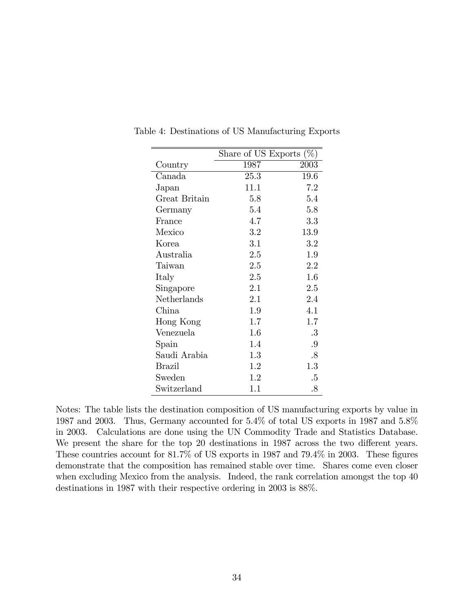|               | Share of US Exports $(\%)$ |        |
|---------------|----------------------------|--------|
| Country       | 1987                       | 2003   |
| Canada        | 25.3                       | 19.6   |
| Japan         | 11.1                       | 7.2    |
| Great Britain | 5.8                        | 5.4    |
| Germany       | 5.4                        | 5.8    |
| France        | 4.7                        | 3.3    |
| Mexico        | 3.2                        | 13.9   |
| Korea         | 3.1                        | 3.2    |
| Australia     | 2.5                        | 1.9    |
| Taiwan        | 2.5                        | 2.2    |
| Italy         | 2.5                        | 1.6    |
| Singapore     | 2.1                        | 2.5    |
| Netherlands   | 2.1                        | 2.4    |
| China         | 1.9                        | 4.1    |
| Hong Kong     | 1.7                        | 1.7    |
| Venezuela     | 1.6                        | $.3\,$ |
| Spain         | 1.4                        | .9     |
| Saudi Arabia  | 1.3                        | $.8\,$ |
| <b>Brazil</b> | 1.2                        | 1.3    |
| Sweden        | 1.2                        | $.5\,$ |
| Switzerland   | 1.1                        | $.8\,$ |

Table 4: Destinations of US Manufacturing Exports

Notes: The table lists the destination composition of US manufacturing exports by value in 1987 and 2003. Thus, Germany accounted for 5.4% of total US exports in 1987 and 5.8% in 2003. Calculations are done using the UN Commodity Trade and Statistics Database. We present the share for the top 20 destinations in 1987 across the two different years. These countries account for  $81.7\%$  of US exports in 1987 and 79.4 $\%$  in 2003. These figures demonstrate that the composition has remained stable over time. Shares come even closer when excluding Mexico from the analysis. Indeed, the rank correlation amongst the top 40 destinations in 1987 with their respective ordering in 2003 is 88%.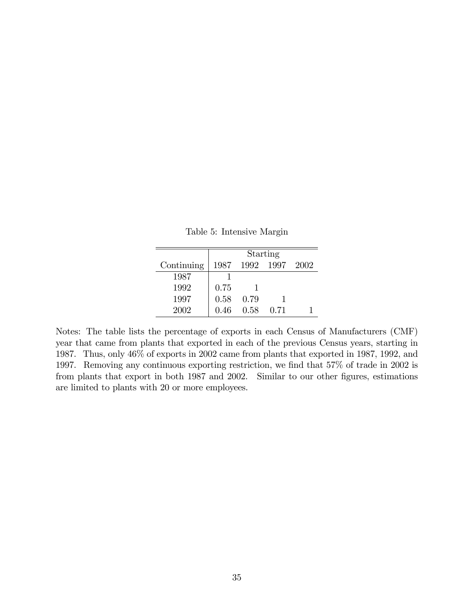|            |      |           | Starting |        |
|------------|------|-----------|----------|--------|
| Continuing | 1987 | 1992 1997 |          | - 2002 |
| 1987       |      |           |          |        |
| 1992       | 0.75 |           |          |        |
| 1997       | 0.58 | 0.79      |          |        |
| 2002       | 0.46 | 0.58      | 0.71     |        |

Table 5: Intensive Margin

Notes: The table lists the percentage of exports in each Census of Manufacturers (CMF) year that came from plants that exported in each of the previous Census years, starting in 1987. Thus, only 46% of exports in 2002 came from plants that exported in 1987, 1992, and 1997. Removing any continuous exporting restriction, we find that 57% of trade in 2002 is from plants that export in both 1987 and 2002. Similar to our other figures, estimations are limited to plants with 20 or more employees.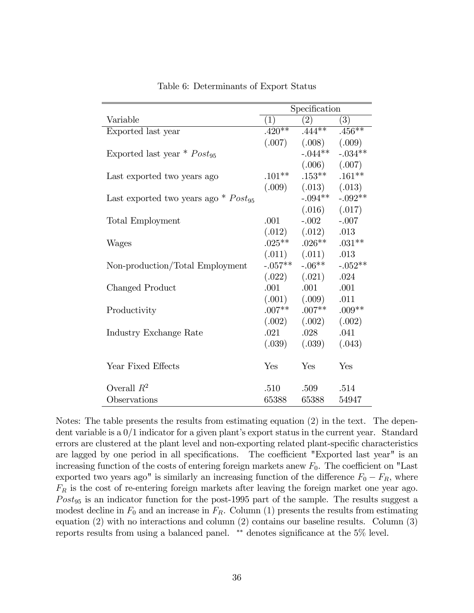|                                                    | Specification |                    |           |
|----------------------------------------------------|---------------|--------------------|-----------|
| Variable                                           | (1)           | (2)                | (3)       |
| Exported last year                                 | $.420**$      | $.444***$          | $.456***$ |
|                                                    | (.007)        | $(.008)$ $(.009)$  |           |
| Exported last year $*$ Post <sub>95</sub>          |               | $-.044**$          | $-.034**$ |
|                                                    |               | $(.006)$ $(.007)$  |           |
| Last exported two years ago                        | $.101**$      | $.153***$          | $.161**$  |
|                                                    | (.009)        | $(.013)$ $(.013)$  |           |
| Last exported two years ago $*$ Post <sub>95</sub> |               | $-.094**$          | $-.092**$ |
|                                                    |               | (.016)             | (.017)    |
| <b>Total Employment</b>                            | .001          | $-.002$            | $-.007$   |
|                                                    |               | $(.012)$ $(.012)$  | .013      |
| Wages                                              |               | $.025***$ $.026**$ | $.031**$  |
|                                                    |               | $(.011)$ $(.011)$  | .013      |
| Non-production/Total Employment                    | $-.057**$     | $-.06**$           | $-.052**$ |
|                                                    |               | $(.022)$ $(.021)$  | .024      |
| Changed Product                                    | .001          | .001               | .001      |
|                                                    |               | $(.001)$ $(.009)$  | .011      |
| Productivity                                       | $.007**$      | $.007**$           | $.009**$  |
|                                                    |               | $(.002)$ $(.002)$  | (.002)    |
| Industry Exchange Rate                             | .021          | .028               | .041      |
|                                                    | (.039)        | (.039)             | (.043)    |
|                                                    |               |                    |           |
| Year Fixed Effects                                 | Yes           | Yes                | Yes       |
|                                                    |               |                    |           |
| Overall $R^2$                                      | .510          | .509               | .514      |
| Observations                                       | 65388         | 65388              | 54947     |

Table 6: Determinants of Export Status

Notes: The table presents the results from estimating equation (2) in the text. The dependent variable is a  $0/1$  indicator for a given plant's export status in the current year. Standard errors are clustered at the plant level and non-exporting related plant-specific characteristics are lagged by one period in all specifications. The coefficient "Exported last year" is an increasing function of the costs of entering foreign markets anew  $F_0$ . The coefficient on "Last exported two years ago" is similarly an increasing function of the difference  $F_0 - F_R$ , where  $F_R$  is the cost of re-entering foreign markets after leaving the foreign market one year ago.  $Post_{95}$  is an indicator function for the post-1995 part of the sample. The results suggest a modest decline in  $F_0$  and an increase in  $F_R$ . Column (1) presents the results from estimating equation (2) with no interactions and column (2) contains our baseline results. Column (3) reports results from using a balanced panel.  $**$  denotes significance at the  $5\%$  level.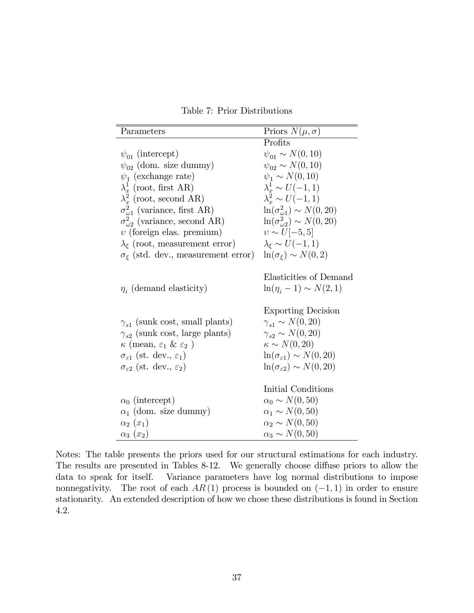Table 7: Prior Distributions

| Parameters                                                                                                                                                                                                                                                                                 | Priors $N(\mu, \sigma)$                                                                                                                                                                                                                                                  |
|--------------------------------------------------------------------------------------------------------------------------------------------------------------------------------------------------------------------------------------------------------------------------------------------|--------------------------------------------------------------------------------------------------------------------------------------------------------------------------------------------------------------------------------------------------------------------------|
|                                                                                                                                                                                                                                                                                            | Profits                                                                                                                                                                                                                                                                  |
| $\psi_{01}$ (intercept)                                                                                                                                                                                                                                                                    | $\psi_{01} \sim N(0, 10)$                                                                                                                                                                                                                                                |
| $\psi_{02}$ (dom. size dummy)                                                                                                                                                                                                                                                              | $\psi_{02} \sim N(0, 10)$                                                                                                                                                                                                                                                |
| $\psi_1$ (exchange rate)                                                                                                                                                                                                                                                                   | $\psi_1 \sim N(0, 10)$                                                                                                                                                                                                                                                   |
| $\lambda_r^1$ (root, first AR)                                                                                                                                                                                                                                                             | $\lambda_r^1 \sim U(-1,1)$                                                                                                                                                                                                                                               |
| $\lambda_x^2$ (root, second AR)                                                                                                                                                                                                                                                            | $\lambda_x^2 \sim U(-1,1)$                                                                                                                                                                                                                                               |
| $\sigma_{\omega 1}^2$ (variance, first AR)                                                                                                                                                                                                                                                 | $\ln(\sigma_{\omega1}^2) \sim N(0, 20)$                                                                                                                                                                                                                                  |
| $\sigma_{\omega2}^2$ (variance, second AR)                                                                                                                                                                                                                                                 | $\ln(\sigma_{\omega_2}^2) \sim N(0, 20)$                                                                                                                                                                                                                                 |
| $v$ (foreign elas. premium)                                                                                                                                                                                                                                                                | $v \sim U[-5, 5]$                                                                                                                                                                                                                                                        |
| $\lambda_{\xi}$ (root, measurement error)                                                                                                                                                                                                                                                  | $\lambda_{\varepsilon} \sim U(-1,1)$                                                                                                                                                                                                                                     |
| $\sigma_{\xi}$ (std. dev., measurement error)                                                                                                                                                                                                                                              | $\ln(\sigma_{\varepsilon}) \sim N(0, 2)$                                                                                                                                                                                                                                 |
| $\eta_i$ (demand elasticity)<br>$\gamma_{s1}$ (sunk cost, small plants)<br>$\gamma_{s2}$ (sunk cost, large plants)<br>$\kappa$ (mean, $\varepsilon_1$ & $\varepsilon_2$ )<br>$\sigma_{\varepsilon 1}$ (st. dev., $\varepsilon_1$ )<br>$\sigma_{\varepsilon2}$ (st. dev., $\varepsilon_2$ ) | Elasticities of Demand<br>$\ln(\eta_i - 1) \sim N(2, 1)$<br><b>Exporting Decision</b><br>$\gamma_{s1} \sim N(0, 20)$<br>$\gamma_{s2} \sim N(0, 20)$<br>$\kappa \sim N(0, 20)$<br>$\ln(\sigma_{\varepsilon 1}) \sim N(0, 20)$<br>$\ln(\sigma_{\epsilon 2}) \sim N(0, 20)$ |
| $\alpha_0$ (intercept)<br>$\alpha_1$ (dom. size dummy)<br>$\alpha_2(x_1)$<br>$\alpha_3(x_2)$                                                                                                                                                                                               | Initial Conditions<br>$\alpha_0 \sim N(0, 50)$<br>$\alpha_1 \sim N(0, 50)$<br>$\alpha_2 \sim N(0, 50)$<br>$\alpha_3 \sim N(0, 50)$                                                                                                                                       |

Notes: The table presents the priors used for our structural estimations for each industry. The results are presented in Tables 8-12. We generally choose diffuse priors to allow the data to speak for itself. Variance parameters have log normal distributions to impose nonnegativity. The root of each  $AR(1)$  process is bounded on  $(-1, 1)$  in order to ensure stationarity. An extended description of how we chose these distributions is found in Section 4.2.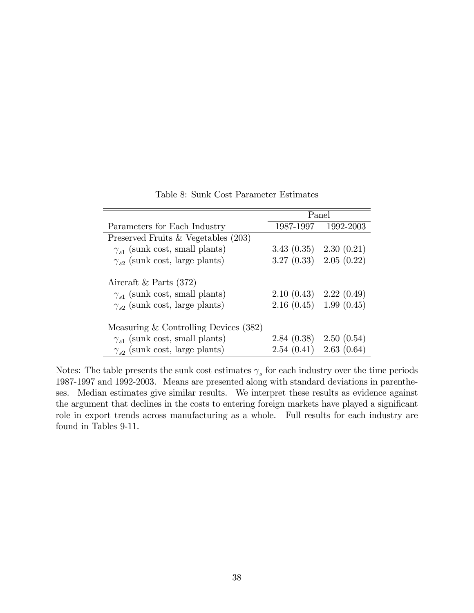|                                         | Panel                      |                     |
|-----------------------------------------|----------------------------|---------------------|
| Parameters for Each Industry            |                            | 1987-1997 1992-2003 |
| Preserved Fruits & Vegetables $(203)$   |                            |                     |
| $\gamma_{s1}$ (sunk cost, small plants) | $3.43(0.35)$ $2.30(0.21)$  |                     |
| $\gamma_{s2}$ (sunk cost, large plants) | $3.27(0.33)$ $2.05(0.22)$  |                     |
| Aircraft & Parts $(372)$                |                            |                     |
| $\gamma_{s1}$ (sunk cost, small plants) | $2.10(0.43)$ $2.22(0.49)$  |                     |
| $\gamma_{s2}$ (sunk cost, large plants) | $2.16(0.45)$ 1.99 $(0.45)$ |                     |
| Measuring $&$ Controlling Devices (382) |                            |                     |
| $\gamma_{s1}$ (sunk cost, small plants) | $2.84(0.38)$ $2.50(0.54)$  |                     |
| $\gamma_{s2}$ (sunk cost, large plants) | $2.54(0.41)$ $2.63(0.64)$  |                     |

Table 8: Sunk Cost Parameter Estimates

Notes: The table presents the sunk cost estimates  $\gamma_s$  for each industry over the time periods 1987-1997 and 1992-2003. Means are presented along with standard deviations in parentheses. Median estimates give similar results. We interpret these results as evidence against the argument that declines in the costs to entering foreign markets have played a significant role in export trends across manufacturing as a whole. Full results for each industry are found in Tables 9-11.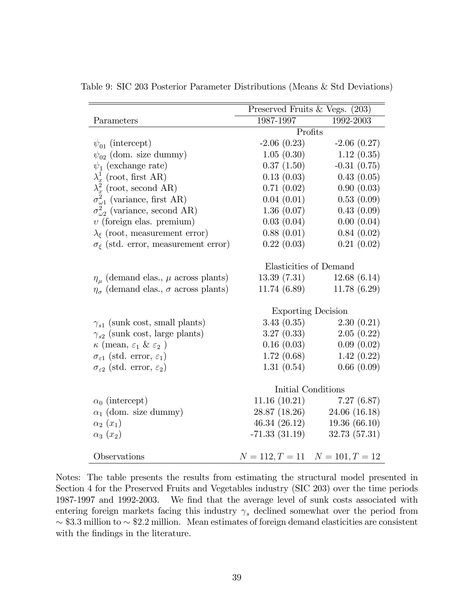|                                                         | Preserved Fruits & Vegs. (203) |                                     |  |
|---------------------------------------------------------|--------------------------------|-------------------------------------|--|
| Parameters                                              | 1987-1997                      | 1992-2003                           |  |
|                                                         |                                | Profits                             |  |
| $\psi_{01}$ (intercept)                                 | $-2.06(0.23)$                  | $-2.06(0.27)$                       |  |
| $\psi_{02}$ (dom. size dummy)                           | 1.05(0.30)                     | 1.12(0.35)                          |  |
| $\psi_1$ (exchange rate)                                | 0.37(1.50)                     | $-0.31(0.75)$                       |  |
| $\lambda_x^1$ (root, first AR)                          | 0.13(0.03)                     | 0.43(0.05)                          |  |
| $\lambda_x^2$ (root, second AR)                         | 0.71(0.02)                     | 0.90(0.03)                          |  |
| $\sigma_{\omega 1}^2$ (variance, first AR)              | 0.04(0.01)                     | 0.53(0.09)                          |  |
| $\sigma_{\omega_2}^2$ (variance, second AR)             | 1.36(0.07)                     | 0.43(0.09)                          |  |
| $v$ (foreign elas. premium)                             | 0.03(0.04)                     | 0.00(0.04)                          |  |
| $\lambda_{\xi}$ (root, measurement error)               | 0.88(0.01)                     | 0.84(0.02)                          |  |
| $\sigma_{\xi}$ (std. error, measurement error)          | 0.22(0.03)                     | 0.21(0.02)                          |  |
|                                                         |                                |                                     |  |
|                                                         |                                | Elasticities of Demand              |  |
| $\eta_{\mu}$ (demand elas., $\mu$ across plants)        | 13.39(7.31)                    | 12.68(6.14)                         |  |
| $\eta_{\sigma}$ (demand elas., $\sigma$ across plants)  | 11.74 (6.89)                   | 11.78(6.29)                         |  |
|                                                         | <b>Exporting Decision</b>      |                                     |  |
| $\gamma_{s1}$ (sunk cost, small plants)                 | 3.43(0.35)                     | 2.30(0.21)                          |  |
| $\gamma_{s2}$ (sunk cost, large plants)                 | 3.27(0.33)                     | 2.05(0.22)                          |  |
| $\kappa$ (mean, $\varepsilon_1$ & $\varepsilon_2$ )     | 0.16(0.03)                     | 0.09(0.02)                          |  |
| $\sigma_{\varepsilon 1}$ (std. error, $\varepsilon_1$ ) | 1.72(0.68)                     | 1.42(0.22)                          |  |
| $\sigma_{\varepsilon 2}$ (std. error, $\varepsilon_2$ ) | 1.31(0.54)                     | 0.66(0.09)                          |  |
|                                                         |                                |                                     |  |
|                                                         | Initial Conditions             |                                     |  |
| $\alpha_0$ (intercept)                                  |                                | $11.16(10.21)$ $7.27(6.87)$         |  |
| $\alpha_1$ (dom. size dummy)                            | 28.87 (18.26)                  | 24.06(16.18)                        |  |
| $\alpha_2(x_1)$                                         | 46.34 (26.12)                  | 19.36(66.10)                        |  |
| $\alpha_3(x_2)$                                         | $-71.33(31.19)$                | 32.73(57.31)                        |  |
|                                                         |                                |                                     |  |
| Observations                                            |                                | $N = 112, T = 11$ $N = 101, T = 12$ |  |

Table 9: SIC 203 Posterior Parameter Distributions (Means & Std Deviations)

Notes: The table presents the results from estimating the structural model presented in Section 4 for the Preserved Fruits and Vegetables industry (SIC 203) over the time periods 1987-1997 and 1992-2003. We find that the average level of sunk costs associated with entering foreign markets facing this industry  $\gamma_s$  declined somewhat over the period from  $\sim$  \$3.3 million to  $\sim$  \$2.2 million. Mean estimates of foreign demand elasticities are consistent with the findings in the literature.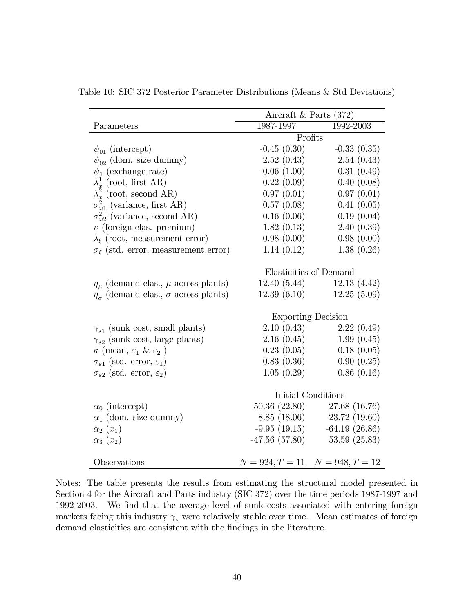|                                                         | Aircraft & Parts $(372)$  |                                     |  |
|---------------------------------------------------------|---------------------------|-------------------------------------|--|
| Parameters                                              | 1987-1997                 | 1992-2003                           |  |
|                                                         |                           | Profits                             |  |
| $\psi_{01}$ (intercept)                                 | $-0.45(0.30)$             | $-0.33(0.35)$                       |  |
| $\psi_{02}$ (dom. size dummy)                           | 2.52(0.43)                | 2.54(0.43)                          |  |
| $\psi_1$ (exchange rate)                                | $-0.06(1.00)$             | 0.31(0.49)                          |  |
| $\lambda_x^1$ (root, first AR)                          | 0.22(0.09)                | 0.40(0.08)                          |  |
| $\lambda_x^2$ (root, second AR)                         | 0.97(0.01)                | 0.97(0.01)                          |  |
| $\sigma_{\omega_1}^2$ (variance, first AR)              | 0.57(0.08)                | 0.41(0.05)                          |  |
| $\sigma_{\omega_2}^2$ (variance, second AR)             | 0.16(0.06)                | 0.19(0.04)                          |  |
| $v$ (foreign elas. premium)                             | 1.82(0.13)                | 2.40(0.39)                          |  |
| $\lambda_{\xi}$ (root, measurement error)               | 0.98(0.00)                | 0.98(0.00)                          |  |
| $\sigma_{\xi}$ (std. error, measurement error)          | 1.14(0.12)                | 1.38(0.26)                          |  |
|                                                         |                           |                                     |  |
|                                                         | Elasticities of Demand    |                                     |  |
| $\eta_{\mu}$ (demand elas., $\mu$ across plants)        | 12.40(5.44)               | 12.13(4.42)                         |  |
| $\eta_{\sigma}$ (demand elas., $\sigma$ across plants)  | 12.39(6.10)               | 12.25(5.09)                         |  |
|                                                         |                           |                                     |  |
|                                                         | <b>Exporting Decision</b> |                                     |  |
| $\gamma_{s1}$ (sunk cost, small plants)                 | 2.10(0.43)                | 2.22(0.49)                          |  |
| $\gamma_{s2}$ (sunk cost, large plants)                 | 2.16(0.45)                | 1.99(0.45)                          |  |
| $\kappa$ (mean, $\varepsilon_1$ & $\varepsilon_2$ )     | 0.23(0.05)                | 0.18(0.05)                          |  |
| $\sigma_{\varepsilon 1}$ (std. error, $\varepsilon_1$ ) | 0.83(0.36)                | 0.90(0.25)                          |  |
| $\sigma_{\varepsilon 2}$ (std. error, $\varepsilon_2$ ) | 1.05(0.29)                | 0.86(0.16)                          |  |
|                                                         |                           |                                     |  |
|                                                         |                           | Initial Conditions                  |  |
| $\alpha_0$ (intercept)                                  |                           | 50.36 (22.80) 27.68 (16.76)         |  |
| $\alpha_1$ (dom. size dummy)                            |                           | 8.85 (18.06) 23.72 (19.60)          |  |
| $\alpha_2(x_1)$                                         |                           | $-9.95(19.15)$ $-64.19(26.86)$      |  |
| $\alpha_3(x_2)$                                         |                           | $-47.56(57.80)$ $53.59(25.83)$      |  |
|                                                         |                           |                                     |  |
| Observations                                            |                           | $N = 924, T = 11$ $N = 948, T = 12$ |  |

Table 10: SIC 372 Posterior Parameter Distributions (Means & Std Deviations)

Notes: The table presents the results from estimating the structural model presented in Section 4 for the Aircraft and Parts industry (SIC 372) over the time periods 1987-1997 and 1992-2003. We find that the average level of sunk costs associated with entering foreign markets facing this industry  $\gamma_s$  were relatively stable over time. Mean estimates of foreign demand elasticities are consistent with the findings in the literature.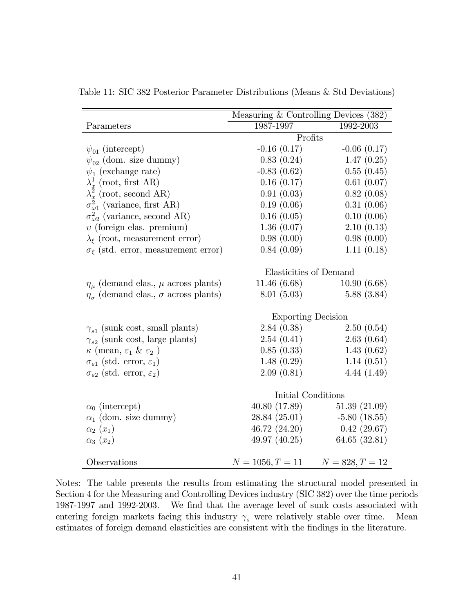|                                                         | Measuring $&$ Controlling Devices (382) |                   |  |
|---------------------------------------------------------|-----------------------------------------|-------------------|--|
| Parameters                                              | 1987-1997                               | 1992-2003         |  |
|                                                         | Profits                                 |                   |  |
| $\psi_{01}$ (intercept)                                 | $-0.16(0.17)$                           | $-0.06(0.17)$     |  |
| $\psi_{02}$ (dom. size dummy)                           | 0.83(0.24)                              | 1.47(0.25)        |  |
| $\psi_1$ (exchange rate)                                | $-0.83(0.62)$                           | 0.55(0.45)        |  |
| $\lambda_x^1$ (root, first AR)                          | 0.16(0.17)                              | 0.61(0.07)        |  |
| $\lambda_x^2$ (root, second AR)                         | 0.91(0.03)                              | 0.82(0.08)        |  |
| $\sigma_{\omega_1}^2$ (variance, first AR)              | 0.19(0.06)                              | 0.31(0.06)        |  |
| $\sigma_{\omega_2}^2$ (variance, second AR)             | 0.16(0.05)                              | 0.10(0.06)        |  |
| $v$ (foreign elas. premium)                             | 1.36(0.07)                              | 2.10(0.13)        |  |
| $\lambda_{\xi}$ (root, measurement error)               | 0.98(0.00)                              | 0.98(0.00)        |  |
| $\sigma_{\xi}$ (std. error, measurement error)          | 0.84(0.09)                              | 1.11(0.18)        |  |
|                                                         |                                         |                   |  |
|                                                         | Elasticities of Demand                  |                   |  |
| $\eta_{\mu}$ (demand elas., $\mu$ across plants)        | 11.46(6.68)                             | 10.90(6.68)       |  |
| $\eta_{\sigma}$ (demand elas., $\sigma$ across plants)  | 8.01(5.03)                              | 5.88(3.84)        |  |
|                                                         |                                         |                   |  |
|                                                         | <b>Exporting Decision</b>               |                   |  |
| $\gamma_{s1}$ (sunk cost, small plants)                 | 2.84(0.38)                              | 2.50(0.54)        |  |
| $\gamma_{s2}$ (sunk cost, large plants)                 | 2.54(0.41)                              | 2.63(0.64)        |  |
| $\kappa$ (mean, $\varepsilon_1$ & $\varepsilon_2$ )     | 0.85(0.33)                              | 1.43(0.62)        |  |
| $\sigma_{\varepsilon 1}$ (std. error, $\varepsilon_1$ ) | 1.48(0.29)                              | 1.14(0.51)        |  |
| $\sigma_{\varepsilon2}$ (std. error, $\varepsilon_2$ )  | 2.09(0.81)                              | 4.44(1.49)        |  |
|                                                         |                                         |                   |  |
|                                                         | Initial Conditions                      |                   |  |
| $\alpha_0$ (intercept)                                  | 40.80 (17.89)                           | 51.39(21.09)      |  |
| $\alpha_1$ (dom. size dummy)                            | 28.84 (25.01)                           | $-5.80(18.55)$    |  |
| $\alpha_2(x_1)$                                         | 46.72 (24.20)                           | 0.42(29.67)       |  |
| $\alpha_3(x_2)$                                         | 49.97 (40.25)                           | 64.65 (32.81)     |  |
|                                                         |                                         |                   |  |
| Observations                                            | $N = 1056, T = 11$                      | $N = 828, T = 12$ |  |

Table 11: SIC 382 Posterior Parameter Distributions (Means & Std Deviations)

Notes: The table presents the results from estimating the structural model presented in Section 4 for the Measuring and Controlling Devices industry (SIC 382) over the time periods 1987-1997 and 1992-2003. We find that the average level of sunk costs associated with entering foreign markets facing this industry  $\gamma_s$  were relatively stable over time. Mean estimates of foreign demand elasticities are consistent with the findings in the literature.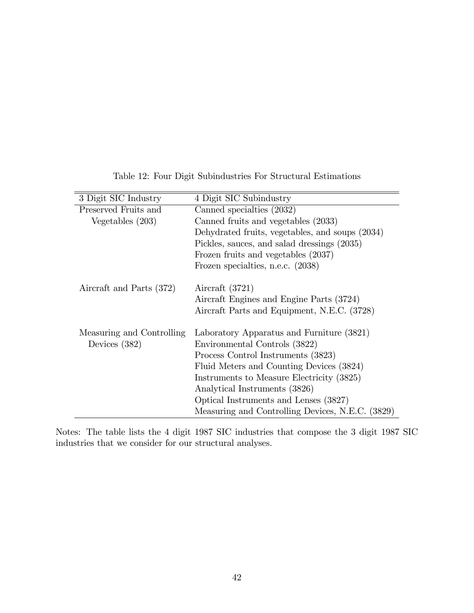| 3 Digit SIC Industry      | 4 Digit SIC Subindustry                          |
|---------------------------|--------------------------------------------------|
| Preserved Fruits and      | Canned specialties (2032)                        |
| Vegetables $(203)$        | Canned fruits and vegetables (2033)              |
|                           | Dehydrated fruits, vegetables, and soups (2034)  |
|                           | Pickles, sauces, and salad dressings (2035)      |
|                           | Frozen fruits and vegetables (2037)              |
|                           | Frozen specialties, n.e.c. (2038)                |
| Aircraft and Parts (372)  | Aircraft $(3721)$                                |
|                           | Aircraft Engines and Engine Parts (3724)         |
|                           | Aircraft Parts and Equipment, N.E.C. (3728)      |
| Measuring and Controlling | Laboratory Apparatus and Furniture (3821)        |
| Devices $(382)$           | Environmental Controls (3822)                    |
|                           | Process Control Instruments (3823)               |
|                           | Fluid Meters and Counting Devices (3824)         |
|                           | Instruments to Measure Electricity (3825)        |
|                           | Analytical Instruments (3826)                    |
|                           | Optical Instruments and Lenses (3827)            |
|                           | Measuring and Controlling Devices, N.E.C. (3829) |

Table 12: Four Digit Subindustries For Structural Estimations

Notes: The table lists the 4 digit 1987 SIC industries that compose the 3 digit 1987 SIC industries that we consider for our structural analyses.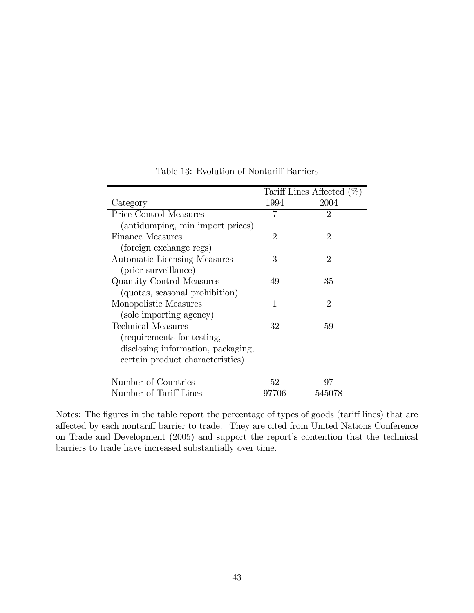|                                    | Tariff Lines Affected $(\% )$ |                             |
|------------------------------------|-------------------------------|-----------------------------|
| Category                           | 1994                          | 2004                        |
| Price Control Measures             | 7                             | $\mathfrak{D}$              |
| (antidumping, min import prices)   |                               |                             |
| <b>Finance Measures</b>            | $\overline{2}$                | $\overline{2}$              |
| (foreign exchange regs)            |                               |                             |
| Automatic Licensing Measures       | 3                             | $\overline{2}$              |
| (prior surveillance)               |                               |                             |
| Quantity Control Measures          | 49                            | 35                          |
| (quotas, seasonal prohibition)     |                               |                             |
| Monopolistic Measures              | 1                             | $\mathcal{D}_{\mathcal{L}}$ |
| (sole importing agency)            |                               |                             |
| Technical Measures                 | 32                            | 59                          |
| (requirements for testing,         |                               |                             |
| disclosing information, packaging, |                               |                             |
| certain product characteristics)   |                               |                             |
| Number of Countries                | 52                            | 97                          |
| Number of Tariff Lines             | 97706                         | 545078                      |

Table 13: Evolution of Nontariff Barriers

Notes: The figures in the table report the percentage of types of goods (tariff lines) that are affected by each nontariff barrier to trade. They are cited from United Nations Conference on Trade and Development (2005) and support the report's contention that the technical barriers to trade have increased substantially over time.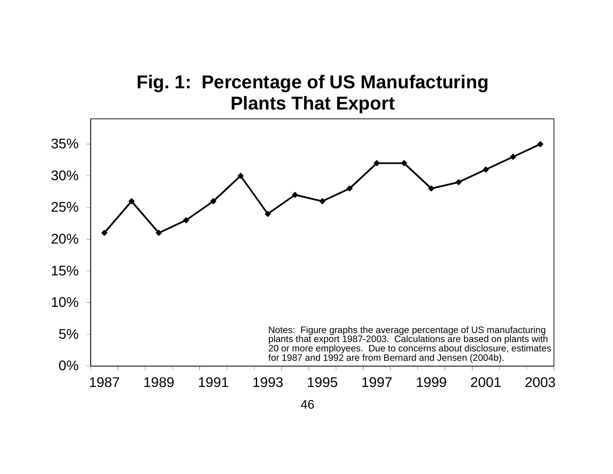# **Fig. 1: Percentage of US Manufacturing Plants That Export**

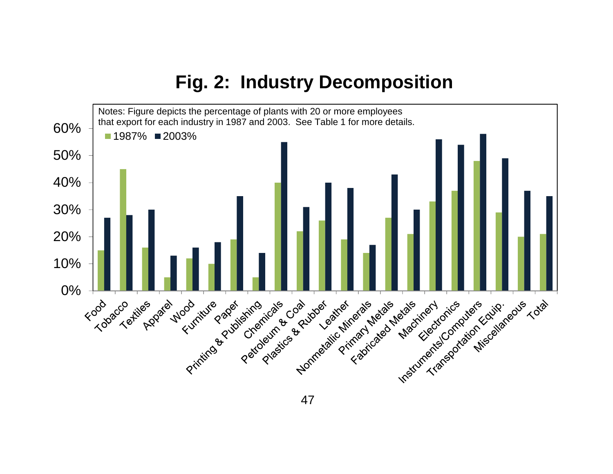# **Fig. 2: Industry Decomposition**



47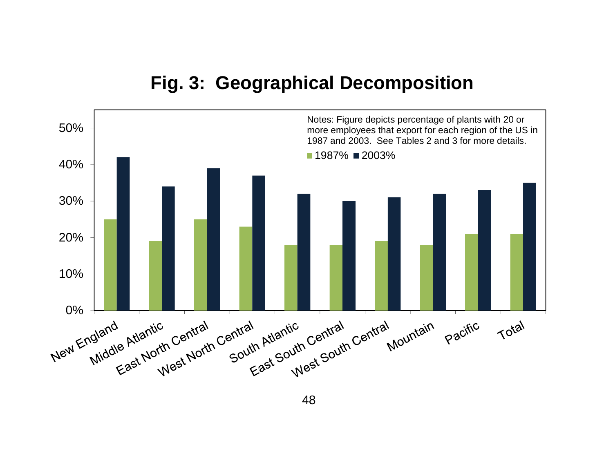## **Fig. 3: Geographical Decomposition**



48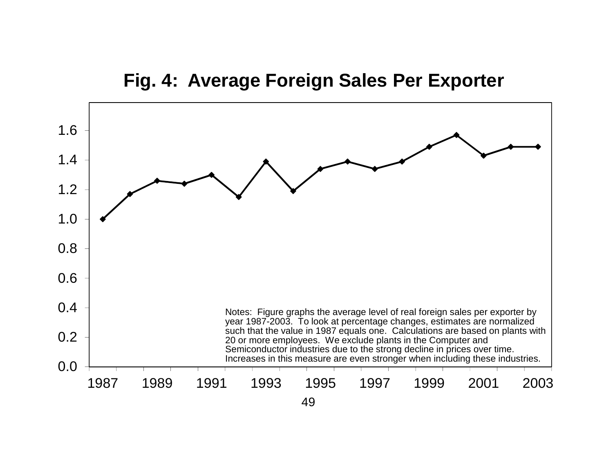## **Fig. 4: Average Foreign Sales Per Exporter**